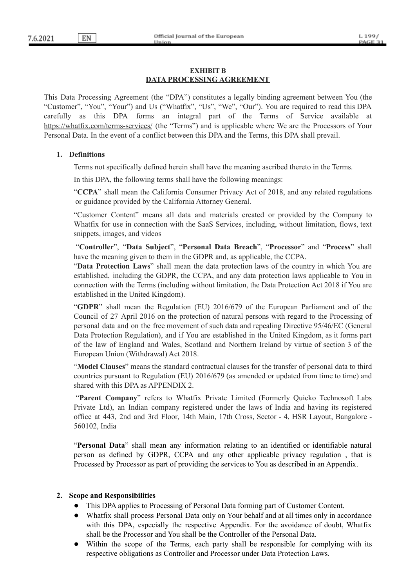#### **EXHIBIT B**

## **DATA PROCESSING AGREEMENT**

This Data Processing Agreement (the "DPA") constitutes a legally binding agreement between You (the "Customer", "You", "Your") and Us ("Whatfix", "Us", "We", "Our"). You are required to read this DPA carefully as this DPA forms an integral part of the Terms of Service available at <https://whatfix.com/terms-services/> (the "Terms") and is applicable where We are the Processors of Your Personal Data. In the event of a conflict between this DPA and the Terms, this DPA shall prevail.

## **1. Definitions**

Terms not specifically defined herein shall have the meaning ascribed thereto in the Terms.

In this DPA, the following terms shall have the following meanings:

"**CCPA**" shall mean the California Consumer Privacy Act of 2018, and any related regulations or guidance provided by the California Attorney General.

"Customer Content" means all data and materials created or provided by the Company to Whatfix for use in connection with the SaaS Services, including, without limitation, flows, text snippets, images, and videos

"**Controller**", "**Data Subject**", "**Personal Data Breach**", "**Processor**" and "**Process**" shall have the meaning given to them in the GDPR and, as applicable, the CCPA.

"**Data Protection Laws**" shall mean the data protection laws of the country in which You are established, including the GDPR, the CCPA, and any data protection laws applicable to You in connection with the Terms (including without limitation, the Data Protection Act 2018 if You are established in the United Kingdom).

"**GDPR**" shall mean the Regulation (EU) 2016/679 of the European Parliament and of the Council of 27 April 2016 on the protection of natural persons with regard to the Processing of personal data and on the free movement of such data and repealing Directive 95/46/EC (General Data Protection Regulation), and if You are established in the United Kingdom, as it forms part of the law of England and Wales, Scotland and Northern Ireland by virtue of section 3 of the European Union (Withdrawal) Act 2018.

"**Model Clauses**" means the standard contractual clauses for the transfer of personal data to third countries pursuant to Regulation (EU) 2016/679 (as amended or updated from time to time) and shared with this DPA as APPENDIX 2.

"**Parent Company**" refers to Whatfix Private Limited (Formerly Quicko Technosoft Labs Private Ltd), an Indian company registered under the laws of India and having its registered office at 443, 2nd and 3rd Floor, 14th Main, 17th Cross, Sector - 4, HSR Layout, Bangalore - 560102, India

"**Personal Data**" shall mean any information relating to an identified or identifiable natural person as defined by GDPR, CCPA and any other applicable privacy regulation , that is Processed by Processor as part of providing the services to You as described in an Appendix.

## **2. Scope and Responsibilities**

- This DPA applies to Processing of Personal Data forming part of Customer Content.
- Whatfix shall process Personal Data only on Your behalf and at all times only in accordance with this DPA, especially the respective Appendix. For the avoidance of doubt, Whatfix shall be the Processor and You shall be the Controller of the Personal Data.
- Within the scope of the Terms, each party shall be responsible for complying with its respective obligations as Controller and Processor under Data Protection Laws.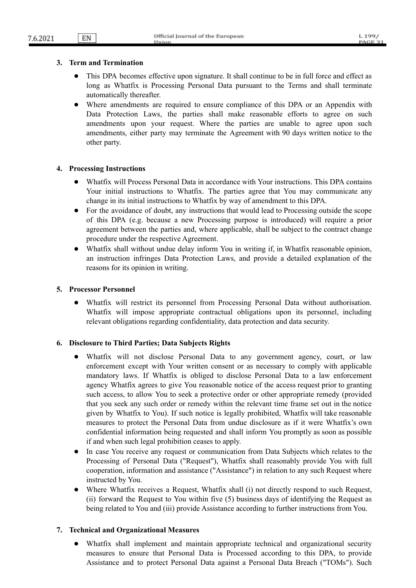## **3. Term and Termination**

**EN** 

- This DPA becomes effective upon signature. It shall continue to be in full force and effect as long as Whatfix is Processing Personal Data pursuant to the Terms and shall terminate automatically thereafter.
- Where amendments are required to ensure compliance of this DPA or an Appendix with Data Protection Laws, the parties shall make reasonable efforts to agree on such amendments upon your request. Where the parties are unable to agree upon such amendments, either party may terminate the Agreement with 90 days written notice to the other party.

## **4. Processing Instructions**

- Whatfix will Process Personal Data in accordance with Your instructions. This DPA contains Your initial instructions to Whatfix. The parties agree that You may communicate any change in its initial instructions to Whatfix by way of amendment to this DPA.
- For the avoidance of doubt, any instructions that would lead to Processing outside the scope of this DPA (e.g. because a new Processing purpose is introduced) will require a prior agreement between the parties and, where applicable, shall be subject to the contract change procedure under the respective Agreement.
- Whatfix shall without undue delay inform You in writing if, in Whatfix reasonable opinion, an instruction infringes Data Protection Laws, and provide a detailed explanation of the reasons for its opinion in writing.

## **5. Processor Personnel**

● Whatfix will restrict its personnel from Processing Personal Data without authorisation. Whatfix will impose appropriate contractual obligations upon its personnel, including relevant obligations regarding confidentiality, data protection and data security.

## **6. Disclosure to Third Parties; Data Subjects Rights**

- Whatfix will not disclose Personal Data to any government agency, court, or law enforcement except with Your written consent or as necessary to comply with applicable mandatory laws. If Whatfix is obliged to disclose Personal Data to a law enforcement agency Whatfix agrees to give You reasonable notice of the access request prior to granting such access, to allow You to seek a protective order or other appropriate remedy (provided that you seek any such order or remedy within the relevant time frame set out in the notice given by Whatfix to You). If such notice is legally prohibited, Whatfix will take reasonable measures to protect the Personal Data from undue disclosure as if it were Whatfix's own confidential information being requested and shall inform You promptly as soon as possible if and when such legal prohibition ceases to apply.
- In case You receive any request or communication from Data Subjects which relates to the Processing of Personal Data ("Request"), Whatfix shall reasonably provide You with full cooperation, information and assistance ("Assistance") in relation to any such Request where instructed by You.
- Where Whatfix receives a Request, Whatfix shall (i) not directly respond to such Request, (ii) forward the Request to You within five (5) business days of identifying the Request as being related to You and (iii) provide Assistance according to further instructions from You.

## **7. Technical and Organizational Measures**

● Whatfix shall implement and maintain appropriate technical and organizational security measures to ensure that Personal Data is Processed according to this DPA, to provide Assistance and to protect Personal Data against a Personal Data Breach ("TOMs"). Such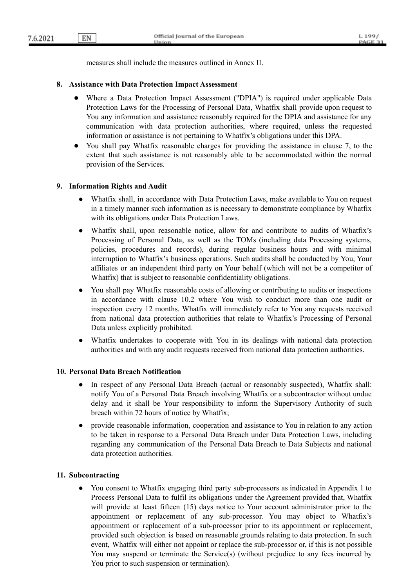measures shall include the measures outlined in Annex II.

## **8. Assistance with Data Protection Impact Assessment**

- Where a Data Protection Impact Assessment ("DPIA") is required under applicable Data Protection Laws for the Processing of Personal Data, Whatfix shall provide upon request to You any information and assistance reasonably required for the DPIA and assistance for any communication with data protection authorities, where required, unless the requested information or assistance is not pertaining to Whatfix's obligations under this DPA.
- You shall pay Whatfix reasonable charges for providing the assistance in clause 7, to the extent that such assistance is not reasonably able to be accommodated within the normal provision of the Services.

## **9. Information Rights and Audit**

- **●** Whatfix shall, in accordance with Data Protection Laws, make available to You on request in a timely manner such information as is necessary to demonstrate compliance by Whatfix with its obligations under Data Protection Laws.
- **●** Whatfix shall, upon reasonable notice, allow for and contribute to audits of Whatfix's Processing of Personal Data, as well as the TOMs (including data Processing systems, policies, procedures and records), during regular business hours and with minimal interruption to Whatfix's business operations. Such audits shall be conducted by You, Your affiliates or an independent third party on Your behalf (which will not be a competitor of Whatfix) that is subject to reasonable confidentiality obligations.
- You shall pay Whatfix reasonable costs of allowing or contributing to audits or inspections in accordance with clause 10.2 where You wish to conduct more than one audit or inspection every 12 months. Whatfix will immediately refer to You any requests received from national data protection authorities that relate to Whatfix's Processing of Personal Data unless explicitly prohibited.
- **●** Whatfix undertakes to cooperate with You in its dealings with national data protection authorities and with any audit requests received from national data protection authorities.

## **10. Personal Data Breach Notification**

- In respect of any Personal Data Breach (actual or reasonably suspected), Whatfix shall: notify You of a Personal Data Breach involving Whatfix or a subcontractor without undue delay and it shall be Your responsibility to inform the Supervisory Authority of such breach within 72 hours of notice by Whatfix;
- **●** provide reasonable information, cooperation and assistance to You in relation to any action to be taken in response to a Personal Data Breach under Data Protection Laws, including regarding any communication of the Personal Data Breach to Data Subjects and national data protection authorities.

## **11. Subcontracting**

You consent to Whatfix engaging third party sub-processors as indicated in Appendix 1 to Process Personal Data to fulfil its obligations under the Agreement provided that, Whatfix will provide at least fifteen (15) days notice to Your account administrator prior to the appointment or replacement of any sub-processor. You may object to Whatfix's appointment or replacement of a sub-processor prior to its appointment or replacement, provided such objection is based on reasonable grounds relating to data protection. In such event, Whatfix will either not appoint or replace the sub-processor or, if this is not possible You may suspend or terminate the Service(s) (without prejudice to any fees incurred by You prior to such suspension or termination).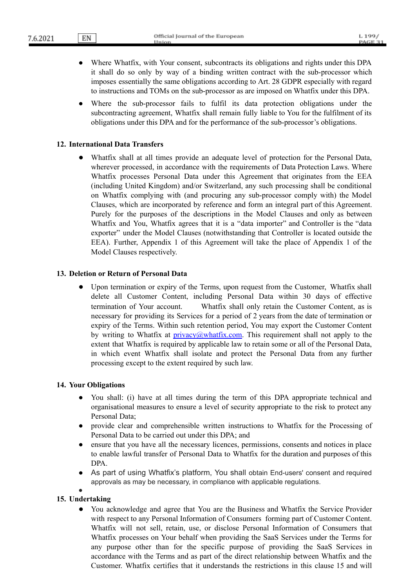- Where Whatfix, with Your consent, subcontracts its obligations and rights under this DPA it shall do so only by way of a binding written contract with the sub-processor which imposes essentially the same obligations according to Art. 28 GDPR especially with regard to instructions and TOMs on the sub-processor as are imposed on Whatfix under this DPA.
- Where the sub-processor fails to fulfil its data protection obligations under the subcontracting agreement, Whatfix shall remain fully liable to You for the fulfilment of its obligations under this DPA and for the performance of the sub-processor's obligations.

## **12. International Data Transfers**

● Whatfix shall at all times provide an adequate level of protection for the Personal Data, wherever processed, in accordance with the requirements of Data Protection Laws. Where Whatfix processes Personal Data under this Agreement that originates from the EEA (including United Kingdom) and/or Switzerland, any such processing shall be conditional on Whatfix complying with (and procuring any sub-processor comply with) the Model Clauses, which are incorporated by reference and form an integral part of this Agreement. Purely for the purposes of the descriptions in the Model Clauses and only as between Whatfix and You, Whatfix agrees that it is a "data importer" and Controller is the "data exporter" under the Model Clauses (notwithstanding that Controller is located outside the EEA). Further, Appendix 1 of this Agreement will take the place of Appendix 1 of the Model Clauses respectively.

## **13. Deletion or Return of Personal Data**

Upon termination or expiry of the Terms, upon request from the Customer, Whatfix shall delete all Customer Content, including Personal Data within 30 days of effective termination of Your account. Whatfix shall only retain the Customer Content, as is necessary for providing its Services for a period of 2 years from the date of termination or expiry of the Terms. Within such retention period, You may export the Customer Content by writing to Whatfix at  $\text{privacy}(\hat{\omega}(\text{whattix.com})$ . This requirement shall not apply to the extent that Whatfix is required by applicable law to retain some or all of the Personal Data, in which event Whatfix shall isolate and protect the Personal Data from any further processing except to the extent required by such law.

## **14. Your Obligations**

- You shall: (i) have at all times during the term of this DPA appropriate technical and organisational measures to ensure a level of security appropriate to the risk to protect any Personal Data;
- provide clear and comprehensible written instructions to Whatfix for the Processing of Personal Data to be carried out under this DPA; and
- ensure that you have all the necessary licences, permissions, consents and notices in place to enable lawful transfer of Personal Data to Whatfix for the duration and purposes of this DPA.
- As part of using Whatfix's platform, You shall obtain End-users' consent and required approvals as may be necessary, in compliance with applicable regulations.

## ● **15. Undertaking**

You acknowledge and agree that You are the Business and Whatfix the Service Provider with respect to any Personal Information of Consumers forming part of Customer Content. Whatfix will not sell, retain, use, or disclose Personal Information of Consumers that Whatfix processes on Your behalf when providing the SaaS Services under the Terms for any purpose other than for the specific purpose of providing the SaaS Services in accordance with the Terms and as part of the direct relationship between Whatfix and the Customer. Whatfix certifies that it understands the restrictions in this clause 15 and will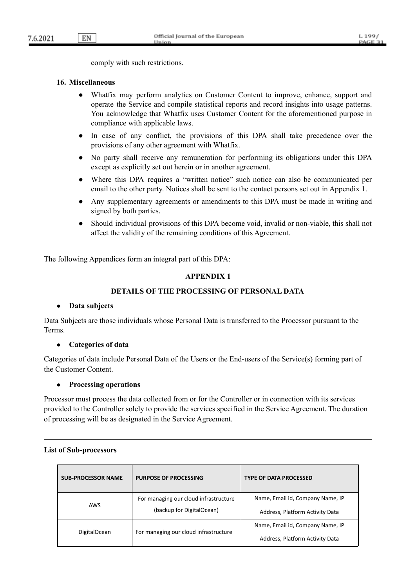comply with such restrictions.

## **16. Miscellaneous**

- **●** Whatfix may perform analytics on Customer Content to improve, enhance, support and operate the Service and compile statistical reports and record insights into usage patterns. You acknowledge that Whatfix uses Customer Content for the aforementioned purpose in compliance with applicable laws.
- **●** In case of any conflict, the provisions of this DPA shall take precedence over the provisions of any other agreement with Whatfix.
- **●** No party shall receive any remuneration for performing its obligations under this DPA except as explicitly set out herein or in another agreement.
- **●** Where this DPA requires a "written notice" such notice can also be communicated per email to the other party. Notices shall be sent to the contact persons set out in Appendix 1.
- Any supplementary agreements or amendments to this DPA must be made in writing and signed by both parties.
- **●** Should individual provisions of this DPA become void, invalid or non-viable, this shall not affect the validity of the remaining conditions of this Agreement.

The following Appendices form an integral part of this DPA:

## **APPENDIX 1**

## **DETAILS OF THE PROCESSING OF PERSONAL DATA**

## ● **Data subjects**

Data Subjects are those individuals whose Personal Data is transferred to the Processor pursuant to the Terms.

## ● **Categories of data**

Categories of data include Personal Data of the Users or the End-users of the Service(s) forming part of the Customer Content.

## ● **Processing operations**

Processor must process the data collected from or for the Controller or in connection with its services provided to the Controller solely to provide the services specified in the Service Agreement. The duration of processing will be as designated in the Service Agreement.

## **List of Sub-processors**

| <b>SUB-PROCESSOR NAME</b> | <b>PURPOSE OF PROCESSING</b>                                       | <b>TYPE OF DATA PROCESSED</b>                                       |
|---------------------------|--------------------------------------------------------------------|---------------------------------------------------------------------|
| AWS                       | For managing our cloud infrastructure<br>(backup for DigitalOcean) | Name, Email id, Company Name, IP<br>Address, Platform Activity Data |
| DigitalOcean              | For managing our cloud infrastructure                              | Name, Email id, Company Name, IP<br>Address, Platform Activity Data |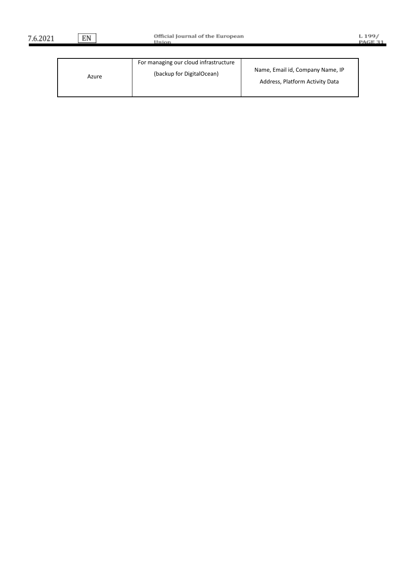| Azure | For managing our cloud infrastructure |                                  |
|-------|---------------------------------------|----------------------------------|
|       | (backup for DigitalOcean)             | Name, Email id, Company Name, IP |
|       |                                       | Address, Platform Activity Data  |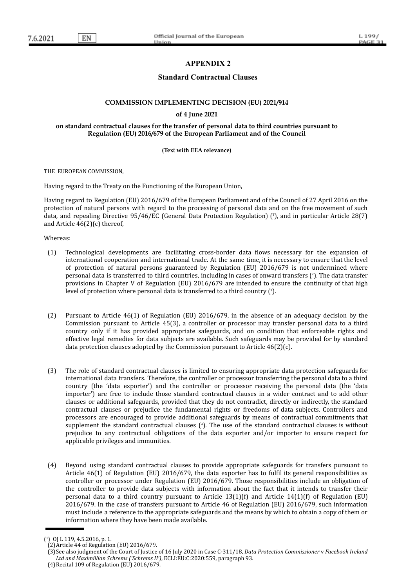## **APPENDIX 2**

### **Standard Contractual Clauses**

## **COMMISSION IMPLEMENTING DECISION (EU) 2021/914**

#### **of 4 June 2021**

## **on standard contractual clauses for the transfer of personal data to third countries pursuant to Regulation (EU) 2016/679 of the European Parliament and of the Council**

#### **(Text with EEA relevance)**

THE EUROPEAN COMMISSION,

Having regard to the Treaty on the Functioning of the European Union,

Having regard to Regulation (EU) 2016/679 of the European Parliament and of the Council of 27 April 2016 on the protection of natural persons with regard to the processing of personal data and on the free movement of such data, and repealing Directive 95/46/EC (General Data Protection Regulation) ( <sup>1</sup>), and in particular Article 28(7) and Article 46(2)(c) thereof,

### Whereas:

- (1) Technological developments are facilitating cross-border data flows necessary for the expansion of international cooperation and international trade. At the same time, it is necessary to ensure that the level of protection of natural persons guaranteed by Regulation (EU) 2016/679 is not undermined where personal data is transferred to third countries, including in cases of onward transfers ( <sup>2</sup>). The data transfer provisions in Chapter V of Regulation (EU) 2016/679 are intended to ensure the continuity of that high level of protection where personal data is transferred to a third country ( 3).
- (2) Pursuant to Article 46(1) of Regulation (EU) 2016/679, in the absence of an adequacy decision by the Commission pursuant to Article 45(3), a controller or processor may transfer personal data to a third country only if it has provided appropriate safeguards, and on condition that enforceable rights and effective legal remedies for data subjects are available. Such safeguards may be provided for by standard data protection clauses adopted by the Commission pursuant to Article 46(2)(c).
- (3) The role of standard contractual clauses is limited to ensuring appropriate data protection safeguards for international data transfers. Therefore, the controller or processor transferring the personal data to a third country (the 'data exporter') and the controller or processor receiving the personal data (the 'data importer') are free to include those standard contractual clauses in a wider contract and to add other clauses or additional safeguards, provided that they do not contradict, directly or indirectly, the standard contractual clauses or prejudice the fundamental rights or freedoms of data subjects. Controllers and processors are encouraged to provide additional safeguards by means of contractual commitments that supplement the standard contractual clauses ( <sup>4</sup>). The use of the standard contractual clauses is without prejudice to any contractual obligations of the data exporter and/or importer to ensure respect for applicable privileges and immunities.
- (4) Beyond using standard contractual clauses to provide appropriate safeguards for transfers pursuant to Article 46(1) of Regulation (EU) 2016/679, the data exporter has to fulfil its general responsibilities as controller or processor under Regulation (EU) 2016/679. Those responsibilities include an obligation of the controller to provide data subjects with information about the fact that it intends to transfer their personal data to a third country pursuant to Article 13(1)(f) and Article 14(1)(f) of Regulation (EU) 2016/679. In the case of transfers pursuant to Article 46 of Regulation (EU) 2016/679, such information must include a reference to the appropriate safeguards and the means by which to obtain a copy of them or information where they have been made available.

<sup>(</sup> <sup>1</sup>) OJ L 119, 4.5.2016, p. 1.

<sup>(2)</sup>Article 44 of Regulation (EU) 2016/679.

<sup>(3)</sup>See also judgment of the Court of Justice of 16 July 2020 in Case C-311/18, *Data Protection Commissioner* v *Facebook Ireland Ltd and Maximillian Schrems ('Schrems II')*, ECLI:EU:C:2020:559, paragraph 93.

<sup>(4)</sup>Recital 109 of Regulation (EU) 2016/679.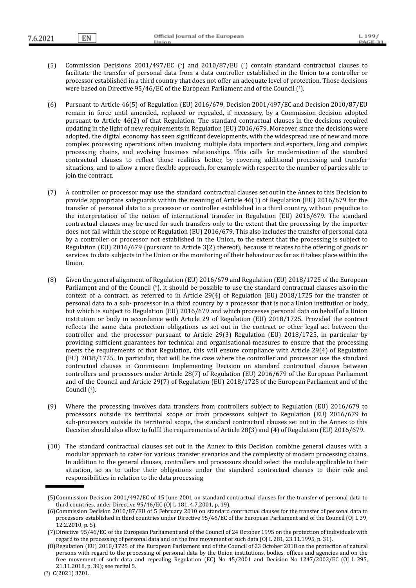- (5) Commission Decisions 2001/497/EC  $\binom{5}{7}$  and 2010/87/EU  $\binom{6}{7}$  contain standard contractual clauses to facilitate the transfer of personal data from a data controller established in the Union to a controller or processor established in a third country that does not offer an adequate level of protection. Those decisions were based on Directive 95/46/EC of the European Parliament and of the Council ( 7).
- (6) Pursuant to Article 46(5) of Regulation (EU) 2016/679, Decision 2001/497/EC and Decision 2010/87/EU remain in force until amended, replaced or repealed, if necessary, by a Commission decision adopted pursuant to Article 46(2) of that Regulation. The standard contractual clauses in the decisions required updating in the light of new requirements in Regulation (EU) 2016/679. Moreover, since the decisions were adopted, the digital economy has seen significant developments, with the widespread use of new and more complex processing operations often involving multiple data importers and exporters, long and complex processing chains, and evolving business relationships. This calls for modernisation of the standard contractual clauses to reflect those realities better, by covering additional processing and transfer situations, and to allow a more flexible approach, for example with respect to the number of parties able to join the contract.
- (7) A controller or processor may use the standard contractual clauses set out in the Annex to this Decision to provide appropriate safeguards within the meaning of Article 46(1) of Regulation (EU) 2016/679 for the transfer of personal data to a processor or controller established in a third country, without prejudice to the interpretation of the notion of international transfer in Regulation (EU) 2016/679. The standard contractual clauses may be used for such transfers only to the extent that the processing by the importer does not fall within the scope of Regulation (EU) 2016/679. This also includes the transfer of personal data by a controller or processor not established in the Union, to the extent that the processing is subject to Regulation (EU) 2016/679 (pursuant to Article 3(2) thereof), because it relates to the offering of goods or services to data subjects in the Union or the monitoring of their behaviour as far as it takes place within the Union.
- (8) Given the general alignment of Regulation (EU) 2016/679 and Regulation (EU) 2018/1725 of the European Parliament and of the Council (<sup>8</sup>), it should be possible to use the standard contractual clauses also in the context of a contract, as referred to in Article 29(4) of Regulation (EU) 2018/1725 for the transfer of personal data to a sub- processor in a third country by a processor that is not a Union institution or body, but which is subject to Regulation (EU) 2016/679 and which processes personal data on behalf of a Union institution or body in accordance with Article 29 of Regulation (EU) 2018/1725. Provided the contract reflects the same data protection obligations as set out in the contract or other legal act between the controller and the processor pursuant to Article 29(3) Regulation (EU) 2018/1725, in particular by providing sufficient guarantees for technical and organisational measures to ensure that the processing meets the requirements of that Regulation, this will ensure compliance with Article 29(4) of Regulation (EU) 2018/1725. In particular, that will be the case where the controller and processor use the standard contractual clauses in Commission Implementing Decision on standard contractual clauses between controllers and processors under Article 28(7) of Regulation (EU) 2016/679 of the European Parliament and of the Council and Article 29(7) of Regulation (EU) 2018/1725 of the European Parliament and of the Council ( 9).
- (9) Where the processing involves data transfers from controllers subject to Regulation (EU) 2016/679 to processors outside its territorial scope or from processors subject to Regulation (EU) 2016/679 to sub-processors outside its territorial scope, the standard contractual clauses set out in the Annex to this Decision should also allow to fulfil the requirements of Article 28(3) and (4) of Regulation (EU) 2016/679.
- (10) The standard contractual clauses set out in the Annex to this Decision combine general clauses with a modular approach to cater for various transfer scenarios and the complexity of modern processing chains. In addition to the general clauses, controllers and processors should select the module applicable to their situation, so as to tailor their obligations under the standard contractual clauses to their role and responsibilities in relation to the data processing

<sup>(5)</sup>Commission Decision 2001/497/EC of 15 June 2001 on standard contractual clauses for the transfer of personal data to third countries, under Directive 95/46/EC (OJ L 181, 4.7.2001, p. 19).

<sup>(6)</sup>Commission Decision 2010/87/EU of 5 February 2010 on standard contractual clauses for the transfer of personal data to processors established in third countries under Directive 95/46/EC of the European Parliament and of the Council (OJ L 39, 12.2.2010, p. 5).

<sup>(7)</sup>Directive 95/46/EC of the European Parliament and of the Council of 24 October 1995 on the protection of individuals with regard to the processing of personal data and on the free movement of such data (OJ L 281, 23.11.1995, p. 31).

<sup>(8)</sup>Regulation (EU) 2018/1725 of the European Parliament and of the Council of 23 October 2018 on the protection of natural persons with regard to the processing of personal data by the Union institutions, bodies, offices and agencies and on the free movement of such data and repealing Regulation (EC) No 45/2001 and Decision No 1247/2002/EC (OJ L 295, 21.11.2018, p. 39); see recital 5.

<sup>(</sup> <sup>9</sup>) C(2021) 3701.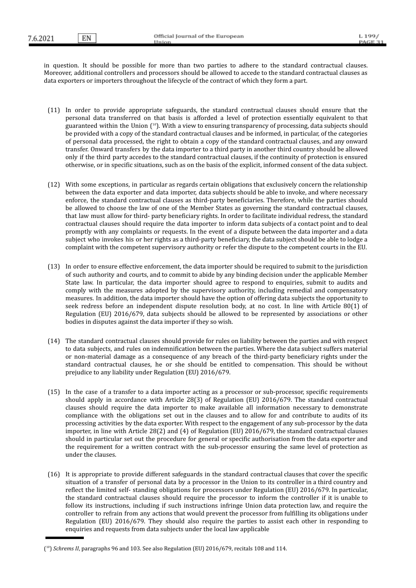in question. It should be possible for more than two parties to adhere to the standard contractual clauses. Moreover, additional controllers and processors should be allowed to accede to the standard contractual clauses as data exporters or importers throughout the lifecycle of the contract of which they form a part.

- (11) In order to provide appropriate safeguards, the standard contractual clauses should ensure that the personal data transferred on that basis is afforded a level of protection essentially equivalent to that guaranteed within the Union ( <sup>10</sup>). With a view to ensuring transparency of processing, data subjects should be provided with a copy of the standard contractual clauses and be informed, in particular, of the categories of personal data processed, the right to obtain a copy of the standard contractual clauses, and any onward transfer. Onward transfers by the data importer to a third party in another third country should be allowed only if the third party accedes to the standard contractual clauses, if the continuity of protection is ensured otherwise, or in specific situations, such as on the basis of the explicit, informed consent of the data subject.
- (12) With some exceptions, in particular as regards certain obligations that exclusively concern the relationship between the data exporter and data importer, data subjects should be able to invoke, and where necessary enforce, the standard contractual clauses as third-party beneficiaries. Therefore, while the parties should be allowed to choose the law of one of the Member States as governing the standard contractual clauses, that law must allow for third- party beneficiary rights. In order to facilitate individual redress, the standard contractual clauses should require the data importer to inform data subjects of a contact point and to deal promptly with any complaints or requests. In the event of a dispute between the data importer and a data subject who invokes his or her rights as a third-party beneficiary, the data subject should be able to lodge a complaint with the competent supervisory authority or refer the dispute to the competent courts in the EU.
- (13) In order to ensure effective enforcement, the data importer should be required to submit to the jurisdiction of such authority and courts, and to commit to abide by any binding decision under the applicable Member State law. In particular, the data importer should agree to respond to enquiries, submit to audits and comply with the measures adopted by the supervisory authority, including remedial and compensatory measures. In addition, the data importer should have the option of offering data subjects the opportunity to seek redress before an independent dispute resolution body, at no cost. In line with Article 80(1) of Regulation (EU) 2016/679, data subjects should be allowed to be represented by associations or other bodies in disputes against the data importer if they so wish.
- (14) The standard contractual clauses should provide for rules on liability between the parties and with respect to data subjects, and rules on indemnification between the parties. Where the data subject suffers material or non-material damage as a consequence of any breach of the third-party beneficiary rights under the standard contractual clauses, he or she should be entitled to compensation. This should be without prejudice to any liability under Regulation (EU) 2016/679.
- (15) In the case of a transfer to a data importer acting as a processor or sub-processor, specific requirements should apply in accordance with Article 28(3) of Regulation (EU) 2016/679. The standard contractual clauses should require the data importer to make available all information necessary to demonstrate compliance with the obligations set out in the clauses and to allow for and contribute to audits of its processing activities by the data exporter. With respect to the engagement of any sub-processor by the data importer, in line with Article 28(2) and (4) of Regulation (EU) 2016/679, the standard contractual clauses should in particular set out the procedure for general or specific authorisation from the data exporter and the requirement for a written contract with the sub-processor ensuring the same level of protection as under the clauses.
- (16) It is appropriate to provide different safeguards in the standard contractual clauses that cover the specific situation of a transfer of personal data by a processor in the Union to its controller in a third country and reflect the limited self- standing obligations for processors under Regulation (EU) 2016/679. In particular, the standard contractual clauses should require the processor to inform the controller if it is unable to follow its instructions, including if such instructions infringe Union data protection law, and require the controller to refrain from any actions that would prevent the processor from fulfilling its obligations under Regulation (EU) 2016/679. They should also require the parties to assist each other in responding to enquiries and requests from data subjects under the local law applicable

<sup>(</sup> <sup>10</sup>) *Schrems II*, paragraphs 96 and 103. See also Regulation (EU) 2016/679, recitals 108 and 114.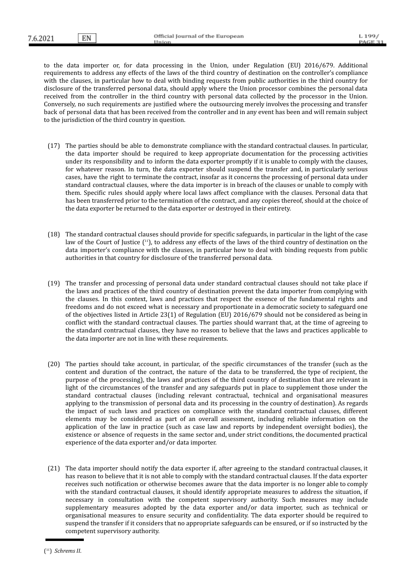to the data importer or, for data processing in the Union, under Regulation (EU) 2016/679. Additional requirements to address any effects of the laws of the third country of destination on the controller's compliance with the clauses, in particular how to deal with binding requests from public authorities in the third country for disclosure of the transferred personal data, should apply where the Union processor combines the personal data received from the controller in the third country with personal data collected by the processor in the Union. Conversely, no such requirements are justified where the outsourcing merely involves the processing and transfer back of personal data that has been received from the controller and in any event has been and will remain subject to the jurisdiction of the third country in question.

- (17) The parties should be able to demonstrate compliance with the standard contractual clauses. In particular, the data importer should be required to keep appropriate documentation for the processing activities under its responsibility and to inform the data exporter promptly if it is unable to comply with the clauses, for whatever reason. In turn, the data exporter should suspend the transfer and, in particularly serious cases, have the right to terminate the contract, insofar as it concerns the processing of personal data under standard contractual clauses, where the data importer is in breach of the clauses or unable to comply with them. Specific rules should apply where local laws affect compliance with the clauses. Personal data that has been transferred prior to the termination of the contract, and any copies thereof, should at the choice of the data exporter be returned to the data exporter or destroyed in their entirety.
- (18) The standard contractual clauses should provide for specific safeguards, in particular in the light of the case law of the Court of Justice (<sup>11</sup>), to address any effects of the laws of the third country of destination on the data importer's compliance with the clauses, in particular how to deal with binding requests from public authorities in that country for disclosure of the transferred personal data.
- (19) The transfer and processing of personal data under standard contractual clauses should not take place if the laws and practices of the third country of destination prevent the data importer from complying with the clauses. In this context, laws and practices that respect the essence of the fundamental rights and freedoms and do not exceed what is necessary and proportionate in a democratic society to safeguard one of the objectives listed in Article 23(1) of Regulation (EU) 2016/679 should not be considered as being in conflict with the standard contractual clauses. The parties should warrant that, at the time of agreeing to the standard contractual clauses, they have no reason to believe that the laws and practices applicable to the data importer are not in line with these requirements.
- (20) The parties should take account, in particular, of the specific circumstances of the transfer (such as the content and duration of the contract, the nature of the data to be transferred, the type of recipient, the purpose of the processing), the laws and practices of the third country of destination that are relevant in light of the circumstances of the transfer and any safeguards put in place to supplement those under the standard contractual clauses (including relevant contractual, technical and organisational measures applying to the transmission of personal data and its processing in the country of destination). As regards the impact of such laws and practices on compliance with the standard contractual clauses, different elements may be considered as part of an overall assessment, including reliable information on the application of the law in practice (such as case law and reports by independent oversight bodies), the existence or absence of requests in the same sector and, under strict conditions, the documented practical experience of the data exporter and/or data importer.
- (21) The data importer should notify the data exporter if, after agreeing to the standard contractual clauses, it has reason to believe that it is not able to comply with the standard contractual clauses. If the data exporter receives such notification or otherwise becomes aware that the data importer is no longer able to comply with the standard contractual clauses, it should identify appropriate measures to address the situation, if necessary in consultation with the competent supervisory authority. Such measures may include supplementary measures adopted by the data exporter and/or data importer, such as technical or organisational measures to ensure security and confidentiality. The data exporter should be required to suspend the transfer if it considers that no appropriate safeguards can be ensured, or if so instructed by the competent supervisory authority.

<sup>(</sup> <sup>11</sup>) *Schrems II*.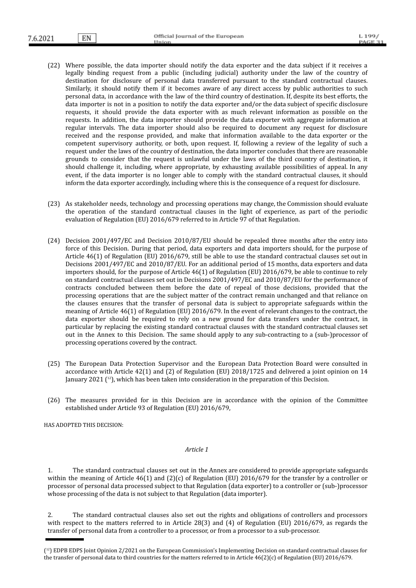- (22) Where possible, the data importer should notify the data exporter and the data subject if it receives a legally binding request from a public (including judicial) authority under the law of the country of destination for disclosure of personal data transferred pursuant to the standard contractual clauses. Similarly, it should notify them if it becomes aware of any direct access by public authorities to such personal data, in accordance with the law of the third country of destination. If, despite its best efforts, the data importer is not in a position to notify the data exporter and/or the data subject of specific disclosure requests, it should provide the data exporter with as much relevant information as possible on the requests. In addition, the data importer should provide the data exporter with aggregate information at regular intervals. The data importer should also be required to document any request for disclosure received and the response provided, and make that information available to the data exporter or the competent supervisory authority, or both, upon request. If, following a review of the legality of such a request under the laws of the country of destination, the data importer concludes that there are reasonable grounds to consider that the request is unlawful under the laws of the third country of destination, it should challenge it, including, where appropriate, by exhausting available possibilities of appeal. In any event, if the data importer is no longer able to comply with the standard contractual clauses, it should inform the data exporter accordingly, including where this is the consequence of a request for disclosure.
- (23) As stakeholder needs, technology and processing operations may change, the Commission should evaluate the operation of the standard contractual clauses in the light of experience, as part of the periodic evaluation of Regulation (EU) 2016/679 referred to in Article 97 of that Regulation.
- (24) Decision 2001/497/EC and Decision 2010/87/EU should be repealed three months after the entry into force of this Decision. During that period, data exporters and data importers should, for the purpose of Article 46(1) of Regulation (EU) 2016/679, still be able to use the standard contractual clauses set out in Decisions 2001/497/EC and 2010/87/EU. For an additional period of 15 months, data exporters and data importers should, for the purpose of Article 46(1) of Regulation (EU) 2016/679, be able to continue to rely on standard contractual clauses set out in Decisions 2001/497/EC and 2010/87/EU for the performance of contracts concluded between them before the date of repeal of those decisions, provided that the processing operations that are the subject matter of the contract remain unchanged and that reliance on the clauses ensures that the transfer of personal data is subject to appropriate safeguards within the meaning of Article 46(1) of Regulation (EU) 2016/679. In the event of relevant changes to the contract, the data exporter should be required to rely on a new ground for data transfers under the contract, in particular by replacing the existing standard contractual clauses with the standard contractual clauses set out in the Annex to this Decision. The same should apply to any sub-contracting to a (sub-)processor of processing operations covered by the contract.
- (25) The European Data Protection Supervisor and the European Data Protection Board were consulted in accordance with Article 42(1) and (2) of Regulation (EU) 2018/1725 and delivered a joint opinion on 14 January 2021 ( $12$ ), which has been taken into consideration in the preparation of this Decision.
- (26) The measures provided for in this Decision are in accordance with the opinion of the Committee established under Article 93 of Regulation (EU) 2016/679,

HAS ADOPTED THIS DECISION:

#### *Article 1*

1. The standard contractual clauses set out in the Annex are considered to provide appropriate safeguards within the meaning of Article 46(1) and (2)(c) of Regulation (EU) 2016/679 for the transfer by a controller or processor of personal data processed subject to that Regulation (data exporter) to a controller or (sub-)processor whose processing of the data is not subject to that Regulation (data importer).

2. The standard contractual clauses also set out the rights and obligations of controllers and processors with respect to the matters referred to in Article 28(3) and (4) of Regulation (EU) 2016/679, as regards the transfer of personal data from a controller to a processor, or from a processor to a sub-processor.

<sup>(</sup> <sup>12</sup>) EDPB EDPS Joint Opinion 2/2021 on the European Commission's Implementing Decision on standard contractual clauses for the transfer of personal data to third countries for the matters referred to in Article 46(2)(c) of Regulation (EU) 2016/679.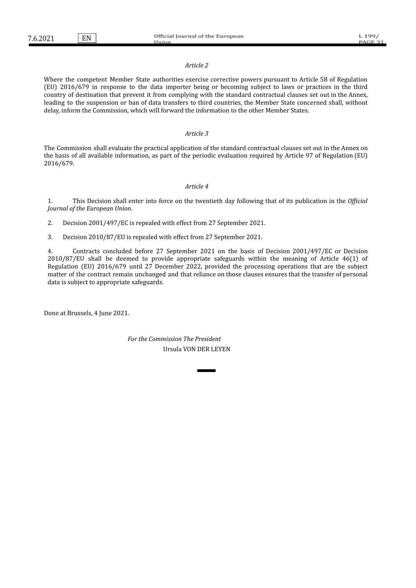### *Article 2*

Where the competent Member State authorities exercise corrective powers pursuant to Article 58 of Regulation (EU) 2016/679 in response to the data importer being or becoming subject to laws or practices in the third country of destination that prevent it from complying with the standard contractual clauses set out in the Annex, leading to the suspension or ban of data transfers to third countries, the Member State concerned shall, without delay, inform the Commission, which will forward the information to the other Member States.

#### *Article 3*

The Commission shall evaluate the practical application of the standard contractual clauses set out in the Annex on the basis of all available information, as part of the periodic evaluation required by Article 97 of Regulation (EU) 2016/679.

## *Article 4*

1. This Decision shall enter into force on the twentieth day following that of its publication in the *Official Journal of the European Union*.

2. Decision 2001/497/EC is repealed with effect from 27 September 2021.

3. Decision 2010/87/EU is repealed with effect from 27 September 2021.

4. Contracts concluded before 27 September 2021 on the basis of Decision 2001/497/EC or Decision 2010/87/EU shall be deemed to provide appropriate safeguards within the meaning of Article 46(1) of Regulation (EU) 2016/679 until 27 December 2022, provided the processing operations that are the subject matter of the contract remain unchanged and that reliance on those clauses ensures that the transfer of personal data is subject to appropriate safeguards.

Done at Brussels, 4 June 2021.

*For the Commission The President* Ursula VON DER LEYEN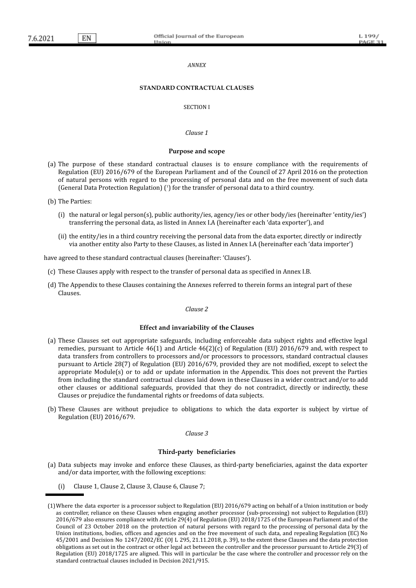#### *ANNEX*

## **STANDARD CONTRACTUAL CLAUSES**

#### SECTION I

#### *Clause 1*

#### **Purpose and scope**

(a) The purpose of these standard contractual clauses is to ensure compliance with the requirements of Regulation (EU) 2016/679 of the European Parliament and of the Council of 27 April 2016 on the protection of natural persons with regard to the processing of personal data and on the free movement of such data (General Data Protection Regulation) ( <sup>1</sup>) for the transfer of personal data to a third country.

#### (b) The Parties:

- (i) the natural or legal person(s), public authority/ies, agency/ies or other body/ies (hereinafter 'entity/ies') transferring the personal data, as listed in Annex I.A (hereinafter each 'data exporter'), and
- (ii) the entity/ies in a third country receiving the personal data from the data exporter, directly or indirectly via another entity also Party to these Clauses, as listed in Annex I.A (hereinafter each 'data importer')

have agreed to these standard contractual clauses (hereinafter: 'Clauses').

- (c) These Clauses apply with respect to the transfer of personal data as specified in Annex I.B.
- (d) The Appendix to these Clauses containing the Annexes referred to therein forms an integral part of these Clauses.

#### *Clause 2*

#### **Effect and invariability of the Clauses**

- (a) These Clauses set out appropriate safeguards, including enforceable data subject rights and effective legal remedies, pursuant to Article 46(1) and Article 46(2)(c) of Regulation (EU) 2016/679 and, with respect to data transfers from controllers to processors and/or processors to processors, standard contractual clauses pursuant to Article 28(7) of Regulation (EU) 2016/679, provided they are not modified, except to select the appropriate Module(s) or to add or update information in the Appendix. This does not prevent the Parties from including the standard contractual clauses laid down in these Clauses in a wider contract and/or to add other clauses or additional safeguards, provided that they do not contradict, directly or indirectly, these Clauses or prejudice the fundamental rights or freedoms of data subjects.
- (b) These Clauses are without prejudice to obligations to which the data exporter is subject by virtue of Regulation (EU) 2016/679.

#### *Clause 3*

#### **Third-party beneficiaries**

- (a) Data subjects may invoke and enforce these Clauses, as third-party beneficiaries, against the data exporter and/or data importer, with the following exceptions:
	- (i) Clause 1, Clause 2, Clause 3, Clause 6, Clause 7;

<sup>(1)</sup>Where the data exporter is a processor subject to Regulation (EU) 2016/679 acting on behalf of a Union institution or body as controller, reliance on these Clauses when engaging another processor (sub-processing) not subject to Regulation (EU) 2016/679 also ensures compliance with Article 29(4) of Regulation (EU) 2018/1725 of the European Parliament and of the Council of 23 October 2018 on the protection of natural persons with regard to the processing of personal data by the Union institutions, bodies, offices and agencies and on the free movement of such data, and repealing Regulation (EC) No 45/2001 and Decision No 1247/2002/EC (OJ L 295, 21.11.2018, p. 39), to the extent these Clauses and the data protection obligations as set out in the contract or other legal act between the controller and the processor pursuant to Article 29(3) of Regulation (EU) 2018/1725 are aligned. This will in particular be the case where the controller and processor rely on the standard contractual clauses included in Decision 2021/915.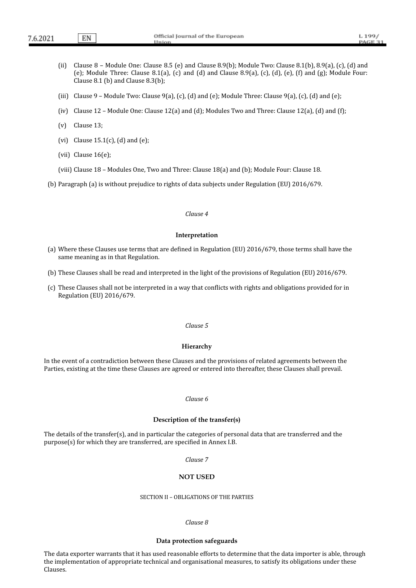- (ii) Clause 8 Module One: Clause 8.5 (e) and Clause 8.9(b); Module Two: Clause 8.1(b), 8.9(a), (c), (d) and (e); Module Three: Clause 8.1(a), (c) and (d) and Clause 8.9(a), (c), (d), (e), (f) and (g); Module Four: Clause 8.1 (b) and Clause 8.3(b);
- (iii) Clause 9 Module Two: Clause 9(a), (c), (d) and (e); Module Three: Clause 9(a), (c), (d) and (e);
- (iv) Clause 12 Module One: Clause 12(a) and (d); Modules Two and Three: Clause 12(a), (d) and (f);
- (v) Clause 13;
- (vi) Clause  $15.1(c)$ , (d) and (e);
- (vii) Clause  $16(e)$ ;
- (viii) Clause 18 Modules One, Two and Three: Clause 18(a) and (b); Module Four: Clause 18.
- (b) Paragraph (a) is without prejudice to rights of data subjects under Regulation (EU) 2016/679.

#### *Clause 4*

#### **Interpretation**

- (a) Where these Clauses use terms that are defined in Regulation (EU) 2016/679, those terms shall have the same meaning as in that Regulation.
- (b) These Clauses shall be read and interpreted in the light of the provisions of Regulation (EU) 2016/679.
- (c) These Clauses shall not be interpreted in a way that conflicts with rights and obligations provided for in Regulation (EU) 2016/679.

## *Clause 5*

### **Hierarchy**

In the event of a contradiction between these Clauses and the provisions of related agreements between the Parties, existing at the time these Clauses are agreed or entered into thereafter, these Clauses shall prevail.

#### *Clause 6*

#### **Description of the transfer(s)**

The details of the transfer(s), and in particular the categories of personal data that are transferred and the purpose(s) for which they are transferred, are specified in Annex I.B.

*Clause 7*

## **NOT USED**

## SECTION II – OBLIGATIONS OF THE PARTIES

#### *Clause 8*

#### **Data protection safeguards**

The data exporter warrants that it has used reasonable efforts to determine that the data importer is able, through the implementation of appropriate technical and organisational measures, to satisfy its obligations under these Clauses.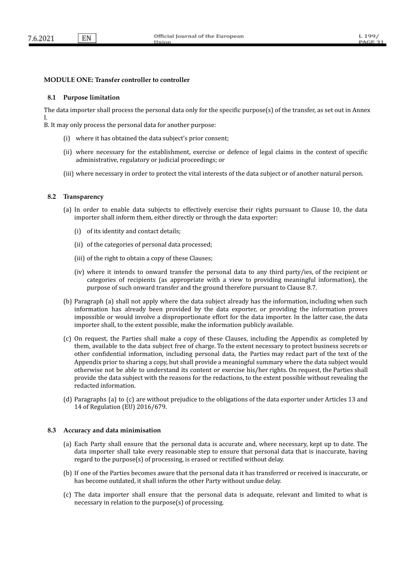#### **MODULE ONE: Transfer controller to controller**

#### **8.1 Purpose limitation**

The data importer shall process the personal data only for the specific purpose(s) of the transfer, as set out in Annex I.

B. It may only process the personal data for another purpose:

- (i) where it has obtained the data subject's prior consent;
- (ii) where necessary for the establishment, exercise or defence of legal claims in the context of specific administrative, regulatory or judicial proceedings; or
- (iii) where necessary in order to protect the vital interests of the data subject or of another natural person.

#### **8.2 Transparency**

- (a) In order to enable data subjects to effectively exercise their rights pursuant to Clause 10, the data importer shall inform them, either directly or through the data exporter:
	- (i) of its identity and contact details;
	- (ii) of the categories of personal data processed;
	- (iii) of the right to obtain a copy of these Clauses;
	- (iv) where it intends to onward transfer the personal data to any third party/ies, of the recipient or categories of recipients (as appropriate with a view to providing meaningful information), the purpose of such onward transfer and the ground therefore pursuant to Clause 8.7.
- (b) Paragraph (a) shall not apply where the data subject already has the information, including when such information has already been provided by the data exporter, or providing the information proves impossible or would involve a disproportionate effort for the data importer. In the latter case, the data importer shall, to the extent possible, make the information publicly available.
- (c) On request, the Parties shall make a copy of these Clauses, including the Appendix as completed by them, available to the data subject free of charge. To the extent necessary to protect business secrets or other confidential information, including personal data, the Parties may redact part of the text of the Appendix prior to sharing a copy, but shall provide a meaningful summary where the data subject would otherwise not be able to understand its content or exercise his/her rights. On request, the Parties shall provide the data subject with the reasons for the redactions, to the extent possible without revealing the redacted information.
- (d) Paragraphs (a) to (c) are without prejudice to the obligations of the data exporter under Articles 13 and 14 of Regulation (EU) 2016/679.

#### **8.3 Accuracy and data minimisation**

- (a) Each Party shall ensure that the personal data is accurate and, where necessary, kept up to date. The data importer shall take every reasonable step to ensure that personal data that is inaccurate, having regard to the purpose(s) of processing, is erased or rectified without delay.
- (b) If one of the Parties becomes aware that the personal data it has transferred or received is inaccurate, or has become outdated, it shall inform the other Party without undue delay.
- (c) The data importer shall ensure that the personal data is adequate, relevant and limited to what is necessary in relation to the purpose(s) of processing.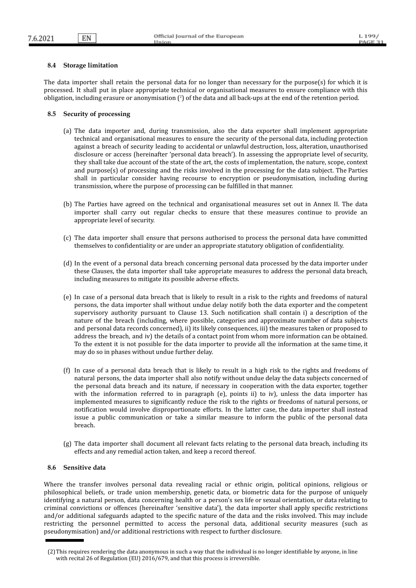#### **8.4 Storage limitation**

The data importer shall retain the personal data for no longer than necessary for the purpose(s) for which it is processed. It shall put in place appropriate technical or organisational measures to ensure compliance with this obligation, including erasure or anonymisation ( <sup>2</sup>) of the data and all back-ups at the end of the retention period.

### **8.5 Security of processing**

- (a) The data importer and, during transmission, also the data exporter shall implement appropriate technical and organisational measures to ensure the security of the personal data, including protection against a breach of security leading to accidental or unlawful destruction, loss, alteration, unauthorised disclosure or access (hereinafter 'personal data breach'). In assessing the appropriate level of security, they shall take due account of the state of the art, the costs of implementation, the nature, scope, context and purpose(s) of processing and the risks involved in the processing for the data subject. The Parties shall in particular consider having recourse to encryption or pseudonymisation, including during transmission, where the purpose of processing can be fulfilled in that manner.
- (b) The Parties have agreed on the technical and organisational measures set out in Annex II. The data importer shall carry out regular checks to ensure that these measures continue to provide an appropriate level of security.
- (c) The data importer shall ensure that persons authorised to process the personal data have committed themselves to confidentiality or are under an appropriate statutory obligation of confidentiality.
- (d) In the event of a personal data breach concerning personal data processed by the data importer under these Clauses, the data importer shall take appropriate measures to address the personal data breach, including measures to mitigate its possible adverse effects.
- (e) In case of a personal data breach that is likely to result in a risk to the rights and freedoms of natural persons, the data importer shall without undue delay notify both the data exporter and the competent supervisory authority pursuant to Clause 13. Such notification shall contain i) a description of the nature of the breach (including, where possible, categories and approximate number of data subjects and personal data records concerned), ii) its likely consequences, iii) the measures taken or proposed to address the breach, and iv) the details of a contact point from whom more information can be obtained. To the extent it is not possible for the data importer to provide all the information at the same time, it may do so in phases without undue further delay.
- (f) In case of a personal data breach that is likely to result in a high risk to the rights and freedoms of natural persons, the data importer shall also notify without undue delay the data subjects concerned of the personal data breach and its nature, if necessary in cooperation with the data exporter, together with the information referred to in paragraph (e), points ii) to iv), unless the data importer has implemented measures to significantly reduce the risk to the rights or freedoms of natural persons, or notification would involve disproportionate efforts. In the latter case, the data importer shall instead issue a public communication or take a similar measure to inform the public of the personal data breach.
- (g) The data importer shall document all relevant facts relating to the personal data breach, including its effects and any remedial action taken, and keep a record thereof.

## **8.6 Sensitive data**

Where the transfer involves personal data revealing racial or ethnic origin, political opinions, religious or philosophical beliefs, or trade union membership, genetic data, or biometric data for the purpose of uniquely identifying a natural person, data concerning health or a person's sex life or sexual orientation, or data relating to criminal convictions or offences (hereinafter 'sensitive data'), the data importer shall apply specific restrictions and/or additional safeguards adapted to the specific nature of the data and the risks involved. This may include restricting the personnel permitted to access the personal data, additional security measures (such as pseudonymisation) and/or additional restrictions with respect to further disclosure.

<sup>(2)</sup>This requires rendering the data anonymous in such a way that the individual is no longer identifiable by anyone, in line with recital 26 of Regulation (EU) 2016/679, and that this process is irreversible.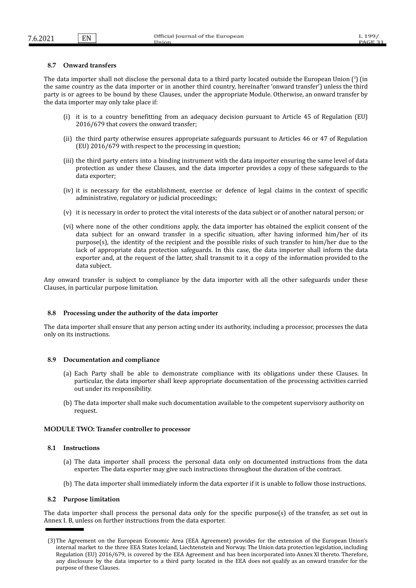$L199/$ PACE

## **8.7 Onward transfers**

The data importer shall not disclose the personal data to a third party located outside the European Union ( <sup>3</sup>) (in the same country as the data importer or in another third country, hereinafter 'onward transfer') unless the third party is or agrees to be bound by these Clauses, under the appropriate Module. Otherwise, an onward transfer by the data importer may only take place if:

- (i) it is to a country benefitting from an adequacy decision pursuant to Article 45 of Regulation (EU) 2016/679 that covers the onward transfer;
- (ii) the third party otherwise ensures appropriate safeguards pursuant to Articles 46 or 47 of Regulation (EU) 2016/679 with respect to the processing in question;
- (iii) the third party enters into a binding instrument with the data importer ensuring the same level of data protection as under these Clauses, and the data importer provides a copy of these safeguards to the data exporter;
- (iv) it is necessary for the establishment, exercise or defence of legal claims in the context of specific administrative, regulatory or judicial proceedings;
- (v) it is necessary in order to protect the vital interests of the data subject or of another natural person; or
- (vi) where none of the other conditions apply, the data importer has obtained the explicit consent of the data subject for an onward transfer in a specific situation, after having informed him/her of its purpose(s), the identity of the recipient and the possible risks of such transfer to him/her due to the lack of appropriate data protection safeguards. In this case, the data importer shall inform the data exporter and, at the request of the latter, shall transmit to it a copy of the information provided to the data subject.

Any onward transfer is subject to compliance by the data importer with all the other safeguards under these Clauses, in particular purpose limitation.

#### **8.8 Processing under the authority of the data importer**

The data importer shall ensure that any person acting under its authority, including a processor, processes the data only on its instructions.

#### **8.9 Documentation and compliance**

- (a) Each Party shall be able to demonstrate compliance with its obligations under these Clauses. In particular, the data importer shall keep appropriate documentation of the processing activities carried out under its responsibility.
- (b) The data importer shall make such documentation available to the competent supervisory authority on request.

#### **MODULE TWO: Transfer controller to processor**

#### **8.1 Instructions**

- (a) The data importer shall process the personal data only on documented instructions from the data exporter. The data exporter may give such instructions throughout the duration of the contract.
- (b) The data importer shall immediately inform the data exporter if it is unable to follow those instructions.

#### **8.2 Purpose limitation**

The data importer shall process the personal data only for the specific purpose(s) of the transfer, as set out in Annex I. B, unless on further instructions from the data exporter.

<sup>(3)</sup>The Agreement on the European Economic Area (EEA Agreement) provides for the extension of the European Union's internal market to the three EEA States Iceland, Liechtenstein and Norway. The Union data protection legislation, including Regulation (EU) 2016/679, is covered by the EEA Agreement and has been incorporated into Annex XI thereto. Therefore, any disclosure by the data importer to a third party located in the EEA does not qualify as an onward transfer for the purpose of these Clauses.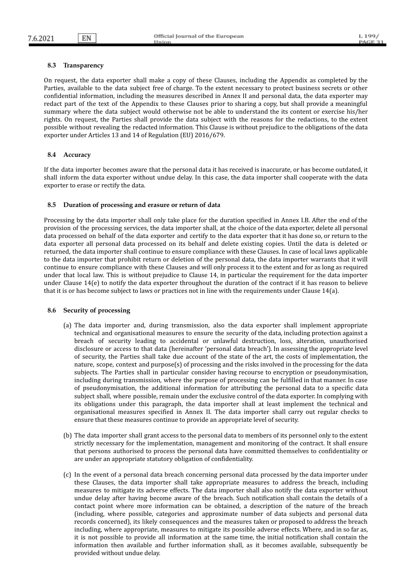## **8.3 Transparency**

On request, the data exporter shall make a copy of these Clauses, including the Appendix as completed by the Parties, available to the data subject free of charge. To the extent necessary to protect business secrets or other confidential information, including the measures described in Annex II and personal data, the data exporter may redact part of the text of the Appendix to these Clauses prior to sharing a copy, but shall provide a meaningful summary where the data subject would otherwise not be able to understand the its content or exercise his/her rights. On request, the Parties shall provide the data subject with the reasons for the redactions, to the extent possible without revealing the redacted information. This Clause is without prejudice to the obligations of the data exporter under Articles 13 and 14 of Regulation (EU) 2016/679.

## **8.4 Accuracy**

If the data importer becomes aware that the personal data it has received is inaccurate, or has become outdated, it shall inform the data exporter without undue delay. In this case, the data importer shall cooperate with the data exporter to erase or rectify the data.

## **8.5 Duration of processing and erasure or return of data**

Processing by the data importer shall only take place for the duration specified in Annex I.B. After the end of the provision of the processing services, the data importer shall, at the choice of the data exporter, delete all personal data processed on behalf of the data exporter and certify to the data exporter that it has done so, or return to the data exporter all personal data processed on its behalf and delete existing copies. Until the data is deleted or returned, the data importer shall continue to ensure compliance with these Clauses. In case of local laws applicable to the data importer that prohibit return or deletion of the personal data, the data importer warrants that it will continue to ensure compliance with these Clauses and will only process it to the extent and for as long as required under that local law. This is without prejudice to Clause 14, in particular the requirement for the data importer under Clause 14(e) to notify the data exporter throughout the duration of the contract if it has reason to believe that it is or has become subject to laws or practices not in line with the requirements under Clause 14(a).

### **8.6 Security of processing**

- (a) The data importer and, during transmission, also the data exporter shall implement appropriate technical and organisational measures to ensure the security of the data, including protection against a breach of security leading to accidental or unlawful destruction, loss, alteration, unauthorised disclosure or access to that data (hereinafter 'personal data breach'). In assessing the appropriate level of security, the Parties shall take due account of the state of the art, the costs of implementation, the nature, scope, context and purpose(s) of processing and the risks involved in the processing for the data subjects. The Parties shall in particular consider having recourse to encryption or pseudonymisation, including during transmission, where the purpose of processing can be fulfilled in that manner. In case of pseudonymisation, the additional information for attributing the personal data to a specific data subject shall, where possible, remain under the exclusive control of the data exporter. In complying with its obligations under this paragraph, the data importer shall at least implement the technical and organisational measures specified in Annex II. The data importer shall carry out regular checks to ensure that these measures continue to provide an appropriate level of security.
- (b) The data importer shall grant access to the personal data to members of its personnel only to the extent strictly necessary for the implementation, management and monitoring of the contract. It shall ensure that persons authorised to process the personal data have committed themselves to confidentiality or are under an appropriate statutory obligation of confidentiality.
- (c) In the event of a personal data breach concerning personal data processed by the data importer under these Clauses, the data importer shall take appropriate measures to address the breach, including measures to mitigate its adverse effects. The data importer shall also notify the data exporter without undue delay after having become aware of the breach. Such notification shall contain the details of a contact point where more information can be obtained, a description of the nature of the breach (including, where possible, categories and approximate number of data subjects and personal data records concerned), its likely consequences and the measures taken or proposed to address the breach including, where appropriate, measures to mitigate its possible adverse effects. Where, and in so far as, it is not possible to provide all information at the same time, the initial notification shall contain the information then available and further information shall, as it becomes available, subsequently be provided without undue delay.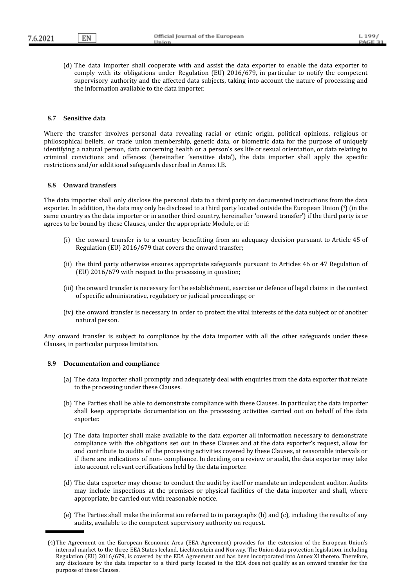(d) The data importer shall cooperate with and assist the data exporter to enable the data exporter to comply with its obligations under Regulation (EU) 2016/679, in particular to notify the competent supervisory authority and the affected data subjects, taking into account the nature of processing and the information available to the data importer.

### **8.7 Sensitive data**

Where the transfer involves personal data revealing racial or ethnic origin, political opinions, religious or philosophical beliefs, or trade union membership, genetic data, or biometric data for the purpose of uniquely identifying a natural person, data concerning health or a person's sex life or sexual orientation, or data relating to criminal convictions and offences (hereinafter 'sensitive data'), the data importer shall apply the specific restrictions and/or additional safeguards described in Annex I.B.

#### **8.8 Onward transfers**

The data importer shall only disclose the personal data to a third party on documented instructions from the data exporter. In addition, the data may only be disclosed to a third party located outside the European Union ( <sup>4</sup>) (in the same country as the data importer or in another third country, hereinafter 'onward transfer') if the third party is or agrees to be bound by these Clauses, under the appropriate Module, or if:

- (i) the onward transfer is to a country benefitting from an adequacy decision pursuant to Article 45 of Regulation (EU) 2016/679 that covers the onward transfer;
- (ii) the third party otherwise ensures appropriate safeguards pursuant to Articles 46 or 47 Regulation of (EU) 2016/679 with respect to the processing in question;
- (iii) the onward transfer is necessary for the establishment, exercise or defence of legal claims in the context of specific administrative, regulatory or judicial proceedings; or
- (iv) the onward transfer is necessary in order to protect the vital interests of the data subject or of another natural person.

Any onward transfer is subject to compliance by the data importer with all the other safeguards under these Clauses, in particular purpose limitation.

#### **8.9 Documentation and compliance**

- (a) The data importer shall promptly and adequately deal with enquiries from the data exporter that relate to the processing under these Clauses.
- (b) The Parties shall be able to demonstrate compliance with these Clauses. In particular, the data importer shall keep appropriate documentation on the processing activities carried out on behalf of the data exporter.
- (c) The data importer shall make available to the data exporter all information necessary to demonstrate compliance with the obligations set out in these Clauses and at the data exporter's request, allow for and contribute to audits of the processing activities covered by these Clauses, at reasonable intervals or if there are indications of non- compliance. In deciding on a review or audit, the data exporter may take into account relevant certifications held by the data importer.
- (d) The data exporter may choose to conduct the audit by itself or mandate an independent auditor. Audits may include inspections at the premises or physical facilities of the data importer and shall, where appropriate, be carried out with reasonable notice.
- (e) The Parties shall make the information referred to in paragraphs (b) and (c), including the results of any audits, available to the competent supervisory authority on request.

<sup>(4)</sup>The Agreement on the European Economic Area (EEA Agreement) provides for the extension of the European Union's internal market to the three EEA States Iceland, Liechtenstein and Norway. The Union data protection legislation, including Regulation (EU) 2016/679, is covered by the EEA Agreement and has been incorporated into Annex XI thereto. Therefore, any disclosure by the data importer to a third party located in the EEA does not qualify as an onward transfer for the purpose of these Clauses.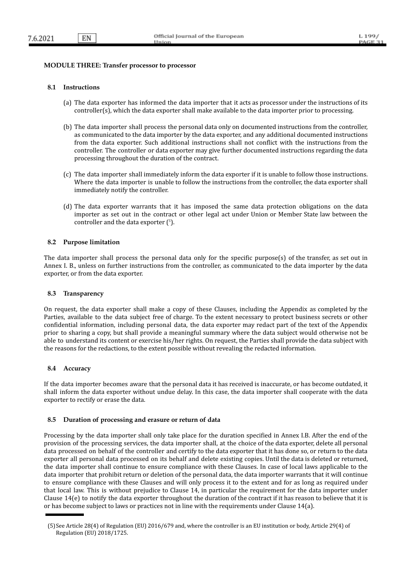#### **MODULE THREE: Transfer processor to processor**

#### **8.1 Instructions**

- (a) The data exporter has informed the data importer that it acts as processor under the instructions of its controller(s), which the data exporter shall make available to the data importer prior to processing.
- (b) The data importer shall process the personal data only on documented instructions from the controller, as communicated to the data importer by the data exporter, and any additional documented instructions from the data exporter. Such additional instructions shall not conflict with the instructions from the controller. The controller or data exporter may give further documented instructions regarding the data processing throughout the duration of the contract.
- (c) The data importer shall immediately inform the data exporter if it is unable to follow those instructions. Where the data importer is unable to follow the instructions from the controller, the data exporter shall immediately notify the controller.
- (d) The data exporter warrants that it has imposed the same data protection obligations on the data importer as set out in the contract or other legal act under Union or Member State law between the controller and the data exporter ( 5).

#### **8.2 Purpose limitation**

The data importer shall process the personal data only for the specific purpose(s) of the transfer, as set out in Annex I. B., unless on further instructions from the controller, as communicated to the data importer by the data exporter, or from the data exporter.

#### **8.3 Transparency**

On request, the data exporter shall make a copy of these Clauses, including the Appendix as completed by the Parties, available to the data subject free of charge. To the extent necessary to protect business secrets or other confidential information, including personal data, the data exporter may redact part of the text of the Appendix prior to sharing a copy, but shall provide a meaningful summary where the data subject would otherwise not be able to understand its content or exercise his/her rights. On request, the Parties shall provide the data subject with the reasons for the redactions, to the extent possible without revealing the redacted information.

#### **8.4 Accuracy**

If the data importer becomes aware that the personal data it has received is inaccurate, or has become outdated, it shall inform the data exporter without undue delay. In this case, the data importer shall cooperate with the data exporter to rectify or erase the data.

#### **8.5 Duration of processing and erasure or return of data**

Processing by the data importer shall only take place for the duration specified in Annex I.B. After the end of the provision of the processing services, the data importer shall, at the choice of the data exporter, delete all personal data processed on behalf of the controller and certify to the data exporter that it has done so, or return to the data exporter all personal data processed on its behalf and delete existing copies. Until the data is deleted or returned, the data importer shall continue to ensure compliance with these Clauses. In case of local laws applicable to the data importer that prohibit return or deletion of the personal data, the data importer warrants that it will continue to ensure compliance with these Clauses and will only process it to the extent and for as long as required under that local law. This is without prejudice to Clause 14, in particular the requirement for the data importer under Clause  $14(e)$  to notify the data exporter throughout the duration of the contract if it has reason to believe that it is or has become subject to laws or practices not in line with the requirements under Clause 14(a).

<sup>(5)</sup>See Article 28(4) of Regulation (EU) 2016/679 and, where the controller is an EU institution or body, Article 29(4) of Regulation (EU) 2018/1725.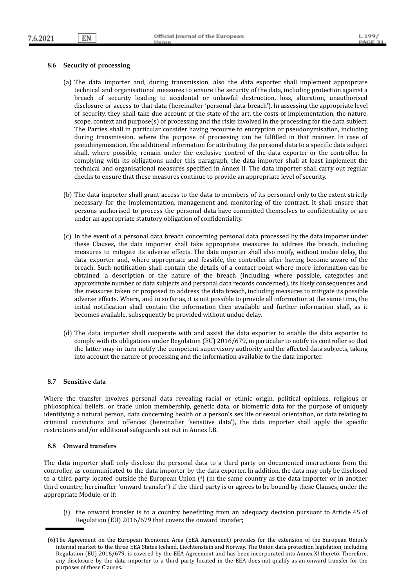## **8.6 Security of processing**

- (a) The data importer and, during transmission, also the data exporter shall implement appropriate technical and organisational measures to ensure the security of the data, including protection against a breach of security leading to accidental or unlawful destruction, loss, alteration, unauthorised disclosure or access to that data (hereinafter 'personal data breach'). In assessing the appropriate level of security, they shall take due account of the state of the art, the costs of implementation, the nature, scope, context and purpose(s) of processing and the risks involved in the processing for the data subject. The Parties shall in particular consider having recourse to encryption or pseudonymisation, including during transmission, where the purpose of processing can be fulfilled in that manner. In case of pseudonymisation, the additional information for attributing the personal data to a specific data subject shall, where possible, remain under the exclusive control of the data exporter or the controller. In complying with its obligations under this paragraph, the data importer shall at least implement the technical and organisational measures specified in Annex II. The data importer shall carry out regular checks to ensure that these measures continue to provide an appropriate level of security.
- (b) The data importer shall grant access to the data to members of its personnel only to the extent strictly necessary for the implementation, management and monitoring of the contract. It shall ensure that persons authorised to process the personal data have committed themselves to confidentiality or are under an appropriate statutory obligation of confidentiality.
- (c) In the event of a personal data breach concerning personal data processed by the data importer under these Clauses, the data importer shall take appropriate measures to address the breach, including measures to mitigate its adverse effects. The data importer shall also notify, without undue delay, the data exporter and, where appropriate and feasible, the controller after having become aware of the breach. Such notification shall contain the details of a contact point where more information can be obtained, a description of the nature of the breach (including, where possible, categories and approximate number of data subjects and personal data records concerned), its likely consequences and the measures taken or proposed to address the data breach, including measures to mitigate its possible adverse effects. Where, and in so far as, it is not possible to provide all information at the same time, the initial notification shall contain the information then available and further information shall, as it becomes available, subsequently be provided without undue delay.
- (d) The data importer shall cooperate with and assist the data exporter to enable the data exporter to comply with its obligations under Regulation (EU) 2016/679, in particular to notify its controller so that the latter may in turn notify the competent supervisory authority and the affected data subjects, taking into account the nature of processing and the information available to the data importer.

### **8.7 Sensitive data**

Where the transfer involves personal data revealing racial or ethnic origin, political opinions, religious or philosophical beliefs, or trade union membership, genetic data, or biometric data for the purpose of uniquely identifying a natural person, data concerning health or a person's sex life or sexual orientation, or data relating to criminal convictions and offences (hereinafter 'sensitive data'), the data importer shall apply the specific restrictions and/or additional safeguards set out in Annex I.B.

### **8.8 Onward transfers**

The data importer shall only disclose the personal data to a third party on documented instructions from the controller, as communicated to the data importer by the data exporter. In addition, the data may only be disclosed to a third party located outside the European Union ( <sup>6</sup>) (in the same country as the data importer or in another third country, hereinafter 'onward transfer') if the third party is or agrees to be bound by these Clauses, under the appropriate Module, or if:

(i) the onward transfer is to a country benefitting from an adequacy decision pursuant to Article 45 of Regulation (EU) 2016/679 that covers the onward transfer;

<sup>(6)</sup>The Agreement on the European Economic Area (EEA Agreement) provides for the extension of the European Union's internal market to the three EEA States Iceland, Liechtenstein and Norway. The Union data protection legislation, including Regulation (EU) 2016/679, is covered by the EEA Agreement and has been incorporated into Annex XI thereto. Therefore, any disclosure by the data importer to a third party located in the EEA does not qualify as an onward transfer for the purposes of these Clauses.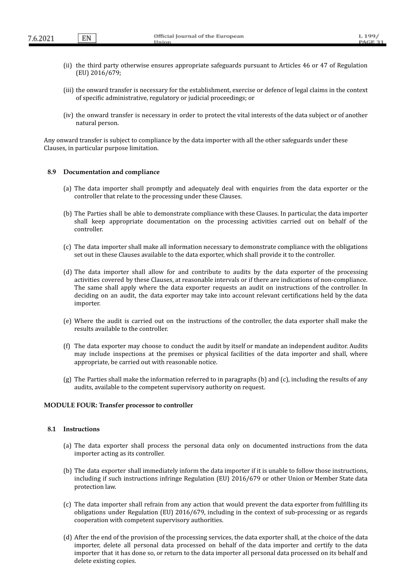- (ii) the third party otherwise ensures appropriate safeguards pursuant to Articles 46 or 47 of Regulation (EU) 2016/679;
- (iii) the onward transfer is necessary for the establishment, exercise or defence of legal claims in the context of specific administrative, regulatory or judicial proceedings; or
- (iv) the onward transfer is necessary in order to protect the vital interests of the data subject or of another natural person.

Any onward transfer is subject to compliance by the data importer with all the other safeguards under these Clauses, in particular purpose limitation.

#### **8.9 Documentation and compliance**

- (a) The data importer shall promptly and adequately deal with enquiries from the data exporter or the controller that relate to the processing under these Clauses.
- (b) The Parties shall be able to demonstrate compliance with these Clauses. In particular, the data importer shall keep appropriate documentation on the processing activities carried out on behalf of the controller.
- (c) The data importer shall make all information necessary to demonstrate compliance with the obligations set out in these Clauses available to the data exporter, which shall provide it to the controller.
- (d) The data importer shall allow for and contribute to audits by the data exporter of the processing activities covered by these Clauses, at reasonable intervals or if there are indications of non-compliance. The same shall apply where the data exporter requests an audit on instructions of the controller. In deciding on an audit, the data exporter may take into account relevant certifications held by the data importer.
- (e) Where the audit is carried out on the instructions of the controller, the data exporter shall make the results available to the controller.
- (f) The data exporter may choose to conduct the audit by itself or mandate an independent auditor. Audits may include inspections at the premises or physical facilities of the data importer and shall, where appropriate, be carried out with reasonable notice.
- (g) The Parties shall make the information referred to in paragraphs (b) and (c), including the results of any audits, available to the competent supervisory authority on request.

#### **MODULE FOUR: Transfer processor to controller**

#### **8.1 Instructions**

- (a) The data exporter shall process the personal data only on documented instructions from the data importer acting as its controller.
- (b) The data exporter shall immediately inform the data importer if it is unable to follow those instructions, including if such instructions infringe Regulation (EU) 2016/679 or other Union or Member State data protection law.
- (c) The data importer shall refrain from any action that would prevent the data exporter from fulfilling its obligations under Regulation (EU) 2016/679, including in the context of sub-processing or as regards cooperation with competent supervisory authorities.
- (d) After the end of the provision of the processing services, the data exporter shall, at the choice of the data importer, delete all personal data processed on behalf of the data importer and certify to the data importer that it has done so, or return to the data importer all personal data processed on its behalf and delete existing copies.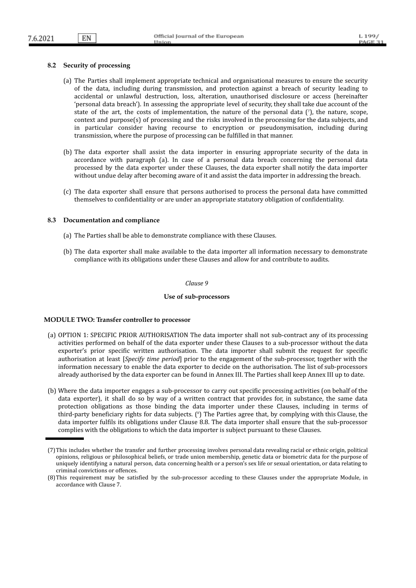### **8.2 Security of processing**

- (a) The Parties shall implement appropriate technical and organisational measures to ensure the security of the data, including during transmission, and protection against a breach of security leading to accidental or unlawful destruction, loss, alteration, unauthorised disclosure or access (hereinafter 'personal data breach'). In assessing the appropriate level of security, they shall take due account of the state of the art, the costs of implementation, the nature of the personal data (7), the nature, scope, context and purpose(s) of processing and the risks involved in the processing for the data subjects, and in particular consider having recourse to encryption or pseudonymisation, including during transmission, where the purpose of processing can be fulfilled in that manner.
- (b) The data exporter shall assist the data importer in ensuring appropriate security of the data in accordance with paragraph (a). In case of a personal data breach concerning the personal data processed by the data exporter under these Clauses, the data exporter shall notify the data importer without undue delay after becoming aware of it and assist the data importer in addressing the breach.
- (c) The data exporter shall ensure that persons authorised to process the personal data have committed themselves to confidentiality or are under an appropriate statutory obligation of confidentiality.

### **8.3 Documentation and compliance**

- (a) The Parties shall be able to demonstrate compliance with these Clauses.
- (b) The data exporter shall make available to the data importer all information necessary to demonstrate compliance with its obligations under these Clauses and allow for and contribute to audits.

### *Clause 9*

### **Use of sub-processors**

## **MODULE TWO: Transfer controller to processor**

- (a) OPTION 1: SPECIFIC PRIOR AUTHORISATION The data importer shall not sub-contract any of its processing activities performed on behalf of the data exporter under these Clauses to a sub-processor without the data exporter's prior specific written authorisation. The data importer shall submit the request for specific authorisation at least [*Specify time period*] prior to the engagement of the sub-processor, together with the information necessary to enable the data exporter to decide on the authorisation. The list of sub-processors already authorised by the data exporter can be found in Annex III. The Parties shall keep Annex III up to date.
- (b) Where the data importer engages a sub-processor to carry out specific processing activities (on behalf of the data exporter), it shall do so by way of a written contract that provides for, in substance, the same data protection obligations as those binding the data importer under these Clauses, including in terms of third-party beneficiary rights for data subjects. ( <sup>8</sup>) The Parties agree that, by complying with this Clause, the data importer fulfils its obligations under Clause 8.8. The data importer shall ensure that the sub-processor complies with the obligations to which the data importer is subject pursuant to these Clauses.

<sup>(7)</sup>This includes whether the transfer and further processing involves personal data revealing racial or ethnic origin, political opinions, religious or philosophical beliefs, or trade union membership, genetic data or biometric data for the purpose of uniquely identifying a natural person, data concerning health or a person's sex life or sexual orientation, or data relating to criminal convictions or offences.

<sup>(8)</sup>This requirement may be satisfied by the sub-processor acceding to these Clauses under the appropriate Module, in accordance with Clause 7.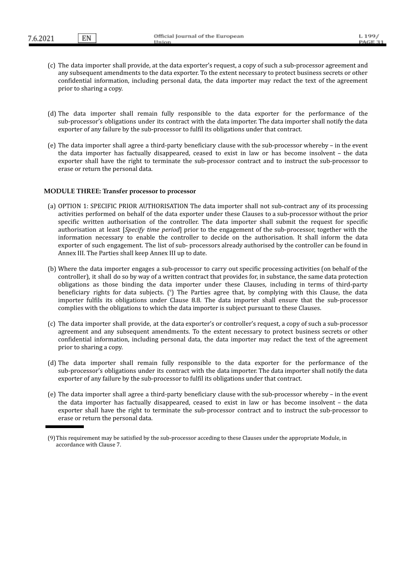- (c) The data importer shall provide, at the data exporter's request, a copy of such a sub-processor agreement and any subsequent amendments to the data exporter. To the extent necessary to protect business secrets or other confidential information, including personal data, the data importer may redact the text of the agreement prior to sharing a copy.
- (d) The data importer shall remain fully responsible to the data exporter for the performance of the sub-processor's obligations under its contract with the data importer. The data importer shall notify the data exporter of any failure by the sub-processor to fulfil its obligations under that contract.
- (e) The data importer shall agree a third-party beneficiary clause with the sub-processor whereby in the event the data importer has factually disappeared, ceased to exist in law or has become insolvent – the data exporter shall have the right to terminate the sub-processor contract and to instruct the sub-processor to erase or return the personal data.

#### **MODULE THREE: Transfer processor to processor**

- (a) OPTION 1: SPECIFIC PRIOR AUTHORISATION The data importer shall not sub-contract any of its processing activities performed on behalf of the data exporter under these Clauses to a sub-processor without the prior specific written authorisation of the controller. The data importer shall submit the request for specific authorisation at least [*Specify time period*] prior to the engagement of the sub-processor, together with the information necessary to enable the controller to decide on the authorisation. It shall inform the data exporter of such engagement. The list of sub- processors already authorised by the controller can be found in Annex III. The Parties shall keep Annex III up to date.
- (b) Where the data importer engages a sub-processor to carry out specific processing activities (on behalf of the controller), it shall do so by way of a written contract that provides for, in substance, the same data protection obligations as those binding the data importer under these Clauses, including in terms of third-party beneficiary rights for data subjects. ( <sup>9</sup>) The Parties agree that, by complying with this Clause, the data importer fulfils its obligations under Clause 8.8. The data importer shall ensure that the sub-processor complies with the obligations to which the data importer is subject pursuant to these Clauses.
- (c) The data importer shall provide, at the data exporter's or controller's request, a copy of such a sub-processor agreement and any subsequent amendments. To the extent necessary to protect business secrets or other confidential information, including personal data, the data importer may redact the text of the agreement prior to sharing a copy.
- (d) The data importer shall remain fully responsible to the data exporter for the performance of the sub-processor's obligations under its contract with the data importer. The data importer shall notify the data exporter of any failure by the sub-processor to fulfil its obligations under that contract.
- (e) The data importer shall agree a third-party beneficiary clause with the sub-processor whereby in the event the data importer has factually disappeared, ceased to exist in law or has become insolvent – the data exporter shall have the right to terminate the sub-processor contract and to instruct the sub-processor to erase or return the personal data.

<sup>(9)</sup>This requirement may be satisfied by the sub-processor acceding to these Clauses under the appropriate Module, in accordance with Clause 7.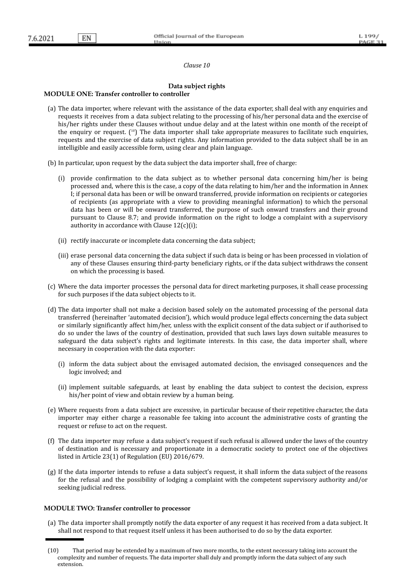## *Clause 10*

## **Data subject rights**

#### **MODULE ONE: Transfer controller to controller**

- (a) The data importer, where relevant with the assistance of the data exporter, shall deal with any enquiries and requests it receives from a data subject relating to the processing of his/her personal data and the exercise of his/her rights under these Clauses without undue delay and at the latest within one month of the receipt of the enquiry or request. ( <sup>10</sup>) The data importer shall take appropriate measures to facilitate such enquiries, requests and the exercise of data subject rights. Any information provided to the data subject shall be in an intelligible and easily accessible form, using clear and plain language.
- (b) In particular, upon request by the data subject the data importer shall, free of charge:
	- (i) provide confirmation to the data subject as to whether personal data concerning him/her is being processed and, where this is the case, a copy of the data relating to him/her and the information in Annex I; if personal data has been or will be onward transferred, provide information on recipients or categories of recipients (as appropriate with a view to providing meaningful information) to which the personal data has been or will be onward transferred, the purpose of such onward transfers and their ground pursuant to Clause 8.7; and provide information on the right to lodge a complaint with a supervisory authority in accordance with Clause  $12(c)(i)$ ;
	- (ii) rectify inaccurate or incomplete data concerning the data subject;
	- (iii) erase personal data concerning the data subject if such data is being or has been processed in violation of any of these Clauses ensuring third-party beneficiary rights, or if the data subject withdraws the consent on which the processing is based.
- (c) Where the data importer processes the personal data for direct marketing purposes, it shall cease processing for such purposes if the data subject objects to it.
- (d) The data importer shall not make a decision based solely on the automated processing of the personal data transferred (hereinafter 'automated decision'), which would produce legal effects concerning the data subject or similarly significantly affect him/her, unless with the explicit consent of the data subject or if authorised to do so under the laws of the country of destination, provided that such laws lays down suitable measures to safeguard the data subject's rights and legitimate interests. In this case, the data importer shall, where necessary in cooperation with the data exporter:
	- (i) inform the data subject about the envisaged automated decision, the envisaged consequences and the logic involved; and
	- (ii) implement suitable safeguards, at least by enabling the data subject to contest the decision, express his/her point of view and obtain review by a human being.
- (e) Where requests from a data subject are excessive, in particular because of their repetitive character, the data importer may either charge a reasonable fee taking into account the administrative costs of granting the request or refuse to act on the request.
- (f) The data importer may refuse a data subject's request if such refusal is allowed under the laws of the country of destination and is necessary and proportionate in a democratic society to protect one of the objectives listed in Article 23(1) of Regulation (EU) 2016/679.
- (g) If the data importer intends to refuse a data subject's request, it shall inform the data subject of the reasons for the refusal and the possibility of lodging a complaint with the competent supervisory authority and/or seeking judicial redress.

### **MODULE TWO: Transfer controller to processor**

(a) The data importer shall promptly notify the data exporter of any request it has received from a data subject. It shall not respond to that request itself unless it has been authorised to do so by the data exporter.

<sup>(10)</sup> That period may be extended by a maximum of two more months, to the extent necessary taking into account the complexity and number of requests. The data importer shall duly and promptly inform the data subject of any such extension.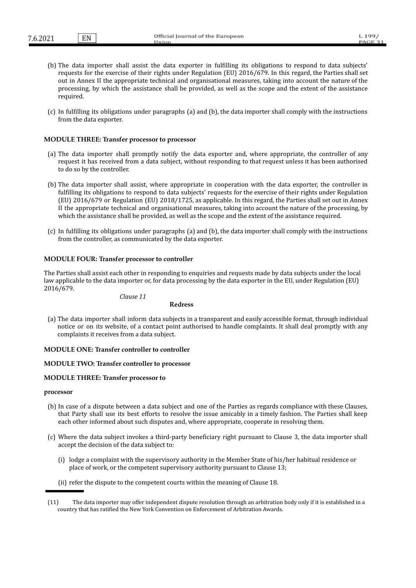- (b) The data importer shall assist the data exporter in fulfilling its obligations to respond to data subjects' requests for the exercise of their rights under Regulation (EU) 2016/679. In this regard, the Parties shall set out in Annex II the appropriate technical and organisational measures, taking into account the nature of the processing, by which the assistance shall be provided, as well as the scope and the extent of the assistance required.
- (c) In fulfilling its obligations under paragraphs (a) and (b), the data importer shall comply with the instructions from the data exporter.

## **MODULE THREE: Transfer processor to processor**

- (a) The data importer shall promptly notify the data exporter and, where appropriate, the controller of any request it has received from a data subject, without responding to that request unless it has been authorised to do so by the controller.
- (b) The data importer shall assist, where appropriate in cooperation with the data exporter, the controller in fulfilling its obligations to respond to data subjects' requests for the exercise of their rights under Regulation (EU) 2016/679 or Regulation (EU) 2018/1725, as applicable. In this regard, the Parties shall set out in Annex II the appropriate technical and organisational measures, taking into account the nature of the processing, by which the assistance shall be provided, as well as the scope and the extent of the assistance required.
- (c) In fulfilling its obligations under paragraphs (a) and (b), the data importer shall comply with the instructions from the controller, as communicated by the data exporter.

#### **MODULE FOUR: Transfer processor to controller**

The Parties shall assist each other in responding to enquiries and requests made by data subjects under the local law applicable to the data importer or, for data processing by the data exporter in the EU, under Regulation (EU) 2016/679.

## *Clause 11*

**Redress**

(a) The data importer shall inform data subjects in a transparent and easily accessible format, through individual notice or on its website, of a contact point authorised to handle complaints. It shall deal promptly with any complaints it receives from a data subject.

### **MODULE ONE: Transfer controller to controller**

#### **MODULE TWO: Transfer controller to processor**

#### **MODULE THREE: Transfer processor to**

### **processor**

- (b) In case of a dispute between a data subject and one of the Parties as regards compliance with these Clauses, that Party shall use its best efforts to resolve the issue amicably in a timely fashion. The Parties shall keep each other informed about such disputes and, where appropriate, cooperate in resolving them.
- (c) Where the data subject invokes a third-party beneficiary right pursuant to Clause 3, the data importer shall accept the decision of the data subject to:
	- (i) lodge a complaint with the supervisory authority in the Member State of his/her habitual residence or place of work, or the competent supervisory authority pursuant to Clause 13;
	- (ii) refer the dispute to the competent courts within the meaning of Clause 18.
- (11) The data importer may offer independent dispute resolution through an arbitration body only if it is established in a country that has ratified the New York Convention on Enforcement of Arbitration Awards.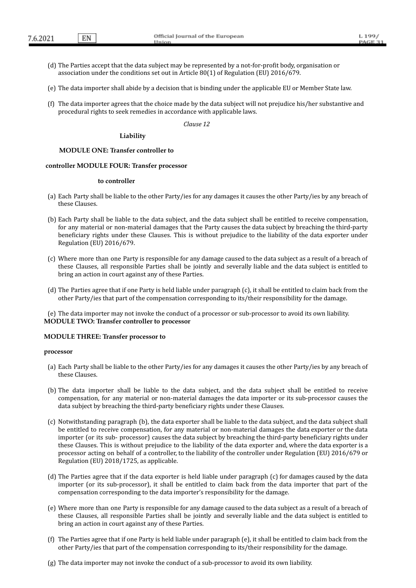- (d) The Parties accept that the data subject may be represented by a not-for-profit body, organisation or association under the conditions set out in Article 80(1) of Regulation (EU) 2016/679.
- (e) The data importer shall abide by a decision that is binding under the applicable EU or Member State law.
- (f) The data importer agrees that the choice made by the data subject will not prejudice his/her substantive and procedural rights to seek remedies in accordance with applicable laws.

*Clause 12*

#### **Liability**

#### **MODULE ONE: Transfer controller to**

#### **controller MODULE FOUR: Transfer processor**

#### **to controller**

- (a) Each Party shall be liable to the other Party/ies for any damages it causes the other Party/ies by any breach of these Clauses.
- (b) Each Party shall be liable to the data subject, and the data subject shall be entitled to receive compensation, for any material or non-material damages that the Party causes the data subject by breaching the third-party beneficiary rights under these Clauses. This is without prejudice to the liability of the data exporter under Regulation (EU) 2016/679.
- (c) Where more than one Party is responsible for any damage caused to the data subject as a result of a breach of these Clauses, all responsible Parties shall be jointly and severally liable and the data subject is entitled to bring an action in court against any of these Parties.
- (d) The Parties agree that if one Party is held liable under paragraph (c), it shall be entitled to claim back from the other Party/ies that part of the compensation corresponding to its/their responsibility for the damage.

(e) The data importer may not invoke the conduct of a processor or sub-processor to avoid its own liability. **MODULE TWO: Transfer controller to processor**

#### **MODULE THREE: Transfer processor to**

#### **processor**

- (a) Each Party shall be liable to the other Party/ies for any damages it causes the other Party/ies by any breach of these Clauses.
- (b) The data importer shall be liable to the data subject, and the data subject shall be entitled to receive compensation, for any material or non-material damages the data importer or its sub-processor causes the data subject by breaching the third-party beneficiary rights under these Clauses.
- (c) Notwithstanding paragraph (b), the data exporter shall be liable to the data subject, and the data subject shall be entitled to receive compensation, for any material or non-material damages the data exporter or the data importer (or its sub- processor) causes the data subject by breaching the third-party beneficiary rights under these Clauses. This is without prejudice to the liability of the data exporter and, where the data exporter is a processor acting on behalf of a controller, to the liability of the controller under Regulation (EU) 2016/679 or Regulation (EU) 2018/1725, as applicable.
- (d) The Parties agree that if the data exporter is held liable under paragraph (c) for damages caused by the data importer (or its sub-processor), it shall be entitled to claim back from the data importer that part of the compensation corresponding to the data importer's responsibility for the damage.
- (e) Where more than one Party is responsible for any damage caused to the data subject as a result of a breach of these Clauses, all responsible Parties shall be jointly and severally liable and the data subject is entitled to bring an action in court against any of these Parties.
- (f) The Parties agree that if one Party is held liable under paragraph (e), it shall be entitled to claim back from the other Party/ies that part of the compensation corresponding to its/their responsibility for the damage.
- (g) The data importer may not invoke the conduct of a sub-processor to avoid its own liability.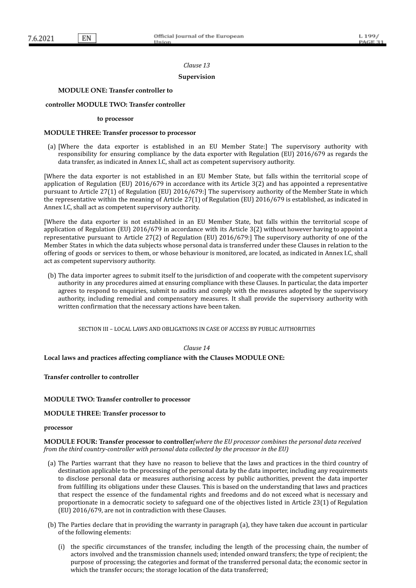## *Clause 13*

### **Supervision**

### **MODULE ONE: Transfer controller to**

## **controller MODULE TWO: Transfer controller**

#### **to processor**

#### **MODULE THREE: Transfer processor to processor**

(a) [Where the data exporter is established in an EU Member State:] The supervisory authority with responsibility for ensuring compliance by the data exporter with Regulation (EU) 2016/679 as regards the data transfer, as indicated in Annex I.C, shall act as competent supervisory authority.

[Where the data exporter is not established in an EU Member State, but falls within the territorial scope of application of Regulation (EU) 2016/679 in accordance with its Article 3(2) and has appointed a representative pursuant to Article 27(1) of Regulation (EU) 2016/679:] The supervisory authority of the Member State in which the representative within the meaning of Article 27(1) of Regulation (EU) 2016/679 is established, as indicated in Annex I.C, shall act as competent supervisory authority.

[Where the data exporter is not established in an EU Member State, but falls within the territorial scope of application of Regulation (EU) 2016/679 in accordance with its Article 3(2) without however having to appoint a representative pursuant to Article 27(2) of Regulation (EU) 2016/679:] The supervisory authority of one of the Member States in which the data subjects whose personal data is transferred under these Clauses in relation to the offering of goods or services to them, or whose behaviour is monitored, are located, as indicated in Annex I.C, shall act as competent supervisory authority.

(b) The data importer agrees to submit itself to the jurisdiction of and cooperate with the competent supervisory authority in any procedures aimed at ensuring compliance with these Clauses. In particular, the data importer agrees to respond to enquiries, submit to audits and comply with the measures adopted by the supervisory authority, including remedial and compensatory measures. It shall provide the supervisory authority with written confirmation that the necessary actions have been taken.

SECTION III – LOCAL LAWS AND OBLIGATIONS IN CASE OF ACCESS BY PUBLIC AUTHORITIES

## *Clause 14*

**Local laws and practices affecting compliance with the Clauses MODULE ONE:**

**Transfer controller to controller**

### **MODULE TWO: Transfer controller to processor**

**MODULE THREE: Transfer processor to**

### **processor**

**MODULE FOUR: Transfer processor to controller***(where the EU processor combines the personal data received from the third country-controller with personal data collected by the processor in the EU)*

- (a) The Parties warrant that they have no reason to believe that the laws and practices in the third country of destination applicable to the processing of the personal data by the data importer, including any requirements to disclose personal data or measures authorising access by public authorities, prevent the data importer from fulfilling its obligations under these Clauses. This is based on the understanding that laws and practices that respect the essence of the fundamental rights and freedoms and do not exceed what is necessary and proportionate in a democratic society to safeguard one of the objectives listed in Article 23(1) of Regulation (EU) 2016/679, are not in contradiction with these Clauses.
- (b) The Parties declare that in providing the warranty in paragraph (a), they have taken due account in particular of the following elements:
	- (i) the specific circumstances of the transfer, including the length of the processing chain, the number of actors involved and the transmission channels used; intended onward transfers; the type of recipient; the purpose of processing; the categories and format of the transferred personal data; the economic sector in which the transfer occurs; the storage location of the data transferred;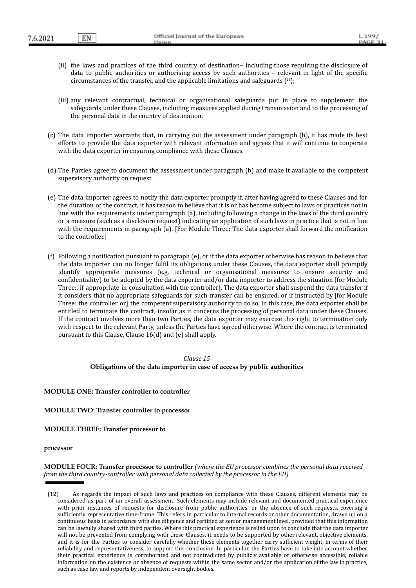- (ii) the laws and practices of the third country of destination– including those requiring the disclosure of data to public authorities or authorising access by such authorities – relevant in light of the specific circumstances of the transfer, and the applicable limitations and safeguards  $(^{12})$ ;
- (iii) any relevant contractual, technical or organisational safeguards put in place to supplement the safeguards under these Clauses, including measures applied during transmission and to the processing of the personal data in the country of destination.
- (c) The data importer warrants that, in carrying out the assessment under paragraph (b), it has made its best efforts to provide the data exporter with relevant information and agrees that it will continue to cooperate with the data exporter in ensuring compliance with these Clauses.
- (d) The Parties agree to document the assessment under paragraph (b) and make it available to the competent supervisory authority on request.
- (e) The data importer agrees to notify the data exporter promptly if, after having agreed to these Clauses and for the duration of the contract, it has reason to believe that it is or has become subject to laws or practices not in line with the requirements under paragraph (a), including following a change in the laws of the third country or a measure (such as a disclosure request) indicating an application of such laws in practice that is not in line with the requirements in paragraph (a). [For Module Three: The data exporter shall forward the notification to the controller.]
- (f) Following a notification pursuant to paragraph (e), or if the data exporter otherwise has reason to believe that the data importer can no longer fulfil its obligations under these Clauses, the data exporter shall promptly identify appropriate measures (e.g. technical or organisational measures to ensure security and confidentiality) to be adopted by the data exporter and/or data importer to address the situation [for Module Three:, if appropriate in consultation with the controller]. The data exporter shall suspend the data transfer if it considers that no appropriate safeguards for such transfer can be ensured, or if instructed by [for Module Three: the controller or] the competent supervisory authority to do so. In this case, the data exporter shall be entitled to terminate the contract, insofar as it concerns the processing of personal data under these Clauses. If the contract involves more than two Parties, the data exporter may exercise this right to termination only with respect to the relevant Party, unless the Parties have agreed otherwise. Where the contract is terminated pursuant to this Clause, Clause 16(d) and (e) shall apply.

## *Clause 15* **Obligations of the data importer in case of access by public authorities**

**MODULE ONE: Transfer controller to controller**

**MODULE TWO: Transfer controller to processor**

**MODULE THREE: Transfer processor to**

#### **processor**

**MODULE FOUR: Transfer processor to controller** *(where the EU processor combines the personal data received from the third country-controller with personal data collected by the processor in the EU)*

<sup>(12)</sup> As regards the impact of such laws and practices on compliance with these Clauses, different elements may be considered as part of an overall assessment. Such elements may include relevant and documented practical experience with prior instances of requests for disclosure from public authorities, or the absence of such requests, covering a sufficiently representative time-frame. This refers in particular to internal records or other documentation, drawn up on a continuous basis in accordance with due diligence and certified at senior management level, provided that this information can be lawfully shared with third parties. Where this practical experience is relied upon to conclude that the data importer will not be prevented from complying with these Clauses, it needs to be supported by other relevant, objective elements, and it is for the Parties to consider carefully whether these elements together carry sufficient weight, in terms of their reliability and representativeness, to support this conclusion. In particular, the Parties have to take into account whether their practical experience is corroborated and not contradicted by publicly available or otherwise accessible, reliable information on the existence or absence of requests within the same sector and/or the application of the law in practice, such as case law and reports by independent oversight bodies.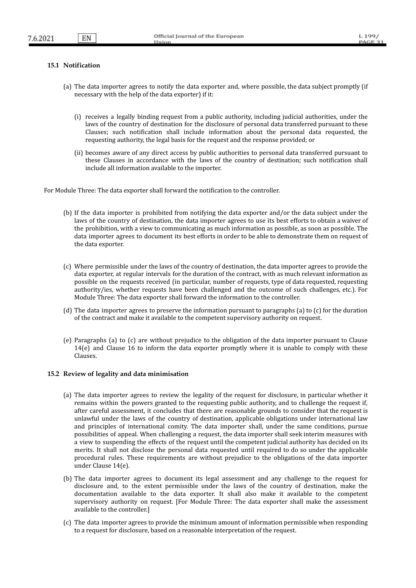L 1997 **PAGE** 

## **15.1 Notification**

- (a) The data importer agrees to notify the data exporter and, where possible, the data subject promptly (if necessary with the help of the data exporter) if it:
	- (i) receives a legally binding request from a public authority, including judicial authorities, under the laws of the country of destination for the disclosure of personal data transferred pursuant to these Clauses; such notification shall include information about the personal data requested, the requesting authority, the legal basis for the request and the response provided; or
	- (ii) becomes aware of any direct access by public authorities to personal data transferred pursuant to these Clauses in accordance with the laws of the country of destination; such notification shall include all information available to the importer.

For Module Three: The data exporter shall forward the notification to the controller.

- (b) If the data importer is prohibited from notifying the data exporter and/or the data subject under the laws of the country of destination, the data importer agrees to use its best efforts to obtain a waiver of the prohibition, with a view to communicating as much information as possible, as soon as possible. The data importer agrees to document its best efforts in order to be able to demonstrate them on request of the data exporter.
- (c) Where permissible under the laws of the country of destination, the data importer agrees to provide the data exporter, at regular intervals for the duration of the contract, with as much relevant information as possible on the requests received (in particular, number of requests, type of data requested, requesting authority/ies, whether requests have been challenged and the outcome of such challenges, etc.). For Module Three: The data exporter shall forward the information to the controller.
- (d) The data importer agrees to preserve the information pursuant to paragraphs (a) to (c) for the duration of the contract and make it available to the competent supervisory authority on request.
- (e) Paragraphs (a) to (c) are without prejudice to the obligation of the data importer pursuant to Clause  $14(e)$  and Clause 16 to inform the data exporter promptly where it is unable to comply with these Clauses.

#### **15.2 Review of legality and data minimisation**

- (a) The data importer agrees to review the legality of the request for disclosure, in particular whether it remains within the powers granted to the requesting public authority, and to challenge the request if, after careful assessment, it concludes that there are reasonable grounds to consider that the request is unlawful under the laws of the country of destination, applicable obligations under international law and principles of international comity. The data importer shall, under the same conditions, pursue possibilities of appeal. When challenging a request, the data importer shall seek interim measures with a view to suspending the effects of the request until the competent judicial authority has decided on its merits. It shall not disclose the personal data requested until required to do so under the applicable procedural rules. These requirements are without prejudice to the obligations of the data importer under Clause 14(e).
- (b) The data importer agrees to document its legal assessment and any challenge to the request for disclosure and, to the extent permissible under the laws of the country of destination, make the documentation available to the data exporter. It shall also make it available to the competent supervisory authority on request. [For Module Three: The data exporter shall make the assessment available to the controller.]
- (c) The data importer agrees to provide the minimum amount of information permissible when responding to a request for disclosure, based on a reasonable interpretation of the request.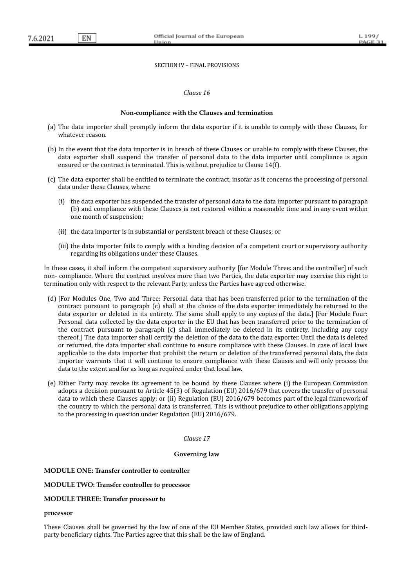## SECTION IV – FINAL PROVISIONS

#### *Clause 16*

#### **Non-compliance with the Clauses and termination**

- (a) The data importer shall promptly inform the data exporter if it is unable to comply with these Clauses, for whatever reason.
- (b) In the event that the data importer is in breach of these Clauses or unable to comply with these Clauses, the data exporter shall suspend the transfer of personal data to the data importer until compliance is again ensured or the contract is terminated. This is without prejudice to Clause 14(f).
- (c) The data exporter shall be entitled to terminate the contract, insofar as it concerns the processing of personal data under these Clauses, where:
	- (i) the data exporter has suspended the transfer of personal data to the data importer pursuant to paragraph (b) and compliance with these Clauses is not restored within a reasonable time and in any event within one month of suspension;
	- (ii) the data importer is in substantial or persistent breach of these Clauses; or
	- (iii) the data importer fails to comply with a binding decision of a competent court or supervisory authority regarding its obligations under these Clauses.

In these cases, it shall inform the competent supervisory authority [for Module Three: and the controller] of such non- compliance. Where the contract involves more than two Parties, the data exporter may exercise this right to termination only with respect to the relevant Party, unless the Parties have agreed otherwise.

- (d) [For Modules One, Two and Three: Personal data that has been transferred prior to the termination of the contract pursuant to paragraph (c) shall at the choice of the data exporter immediately be returned to the data exporter or deleted in its entirety. The same shall apply to any copies of the data.] [For Module Four: Personal data collected by the data exporter in the EU that has been transferred prior to the termination of the contract pursuant to paragraph (c) shall immediately be deleted in its entirety, including any copy thereof.] The data importer shall certify the deletion of the data to the data exporter. Until the data is deleted or returned, the data importer shall continue to ensure compliance with these Clauses. In case of local laws applicable to the data importer that prohibit the return or deletion of the transferred personal data, the data importer warrants that it will continue to ensure compliance with these Clauses and will only process the data to the extent and for as long as required under that local law.
- (e) Either Party may revoke its agreement to be bound by these Clauses where (i) the European Commission adopts a decision pursuant to Article 45(3) of Regulation (EU) 2016/679 that covers the transfer of personal data to which these Clauses apply; or (ii) Regulation (EU) 2016/679 becomes part of the legal framework of the country to which the personal data is transferred. This is without prejudice to other obligations applying to the processing in question under Regulation (EU) 2016/679.

#### *Clause 17*

### **Governing law**

## **MODULE ONE: Transfer controller to controller**

### **MODULE TWO: Transfer controller to processor**

#### **MODULE THREE: Transfer processor to**

#### **processor**

These Clauses shall be governed by the law of one of the EU Member States, provided such law allows for thirdparty beneficiary rights. The Parties agree that this shall be the law of England.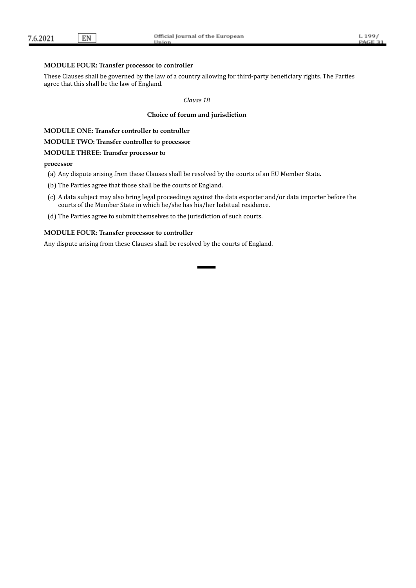## **MODULE FOUR: Transfer processor to controller**

These Clauses shall be governed by the law of a country allowing for third-party beneficiary rights. The Parties agree that this shall be the law of England.

*Clause 18*

## **Choice of forum and jurisdiction**

**MODULE ONE: Transfer controller to controller**

**MODULE TWO: Transfer controller to processor**

### **MODULE THREE: Transfer processor to**

### **processor**

- (a) Any dispute arising from these Clauses shall be resolved by the courts of an EU Member State.
- (b) The Parties agree that those shall be the courts of England.
- (c) A data subject may also bring legal proceedings against the data exporter and/or data importer before the courts of the Member State in which he/she has his/her habitual residence.
- (d) The Parties agree to submit themselves to the jurisdiction of such courts.

## **MODULE FOUR: Transfer processor to controller**

Any dispute arising from these Clauses shall be resolved by the courts of England.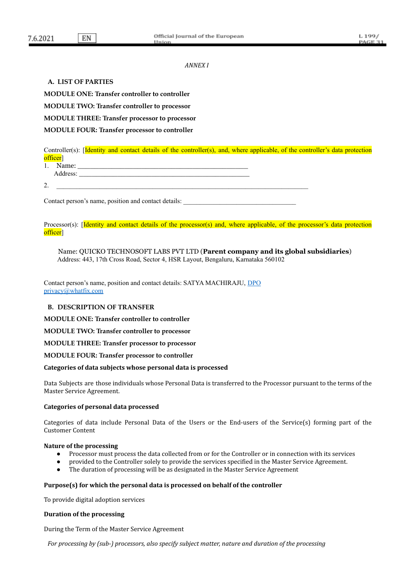### *ANNEX I*

## **A. LIST OF PARTIES**

**MODULE ONE: Transfer controller to controller**

**MODULE TWO: Transfer controller to processor**

**MODULE THREE: Transfer processor to processor**

**MODULE FOUR: Transfer processor to controller**

Controller(s): [Identity and contact details of the controller(s), and, where applicable, of the controller's data protection officer] 1. Name:

Address: 2.

Contact person's name, position and contact details:

Processor(s): [Identity and contact details of the processor(s) and, where applicable, of the processor's data protection officer]

Name: QUICKO TECHNOSOFT LABS PVT LTD (**Parent company and its global subsidiaries**) Address: 443, 17th Cross Road, Sector 4, HSR Layout, Bengaluru, Karnataka 560102

Contact person's name, position and contact details: SATYA MACHIRAJU, DPO privacy@whatfix.com

## **B. DESCRIPTION OF TRANSFER**

**MODULE ONE: Transfer controller to controller**

**MODULE TWO: Transfer controller to processor**

**MODULE THREE: Transfer processor to processor**

**MODULE FOUR: Transfer processor to controller**

### **Categories of data subjects whose personal data is processed**

Data Subjects are those individuals whose Personal Data is transferred to the Processor pursuant to the terms of the Master Service Agreement.

### **Categories of personal data processed**

Categories of data include Personal Data of the Users or the End-users of the Service(s) forming part of the Customer Content

### **Nature of the processing**

- Processor must process the data collected from or for the Controller or in connection with its services
- provided to the Controller solely to provide the services specified in the Master Service Agreement.
- The duration of processing will be as designated in the Master Service Agreement

### **Purpose(s) for which the personal data is processed on behalf of the controller**

To provide digital adoption services

### **Duration of the processing**

During the Term of the Master Service Agreement

*For processing by (sub-) processors, also specify subject matter, nature and duration of the processing*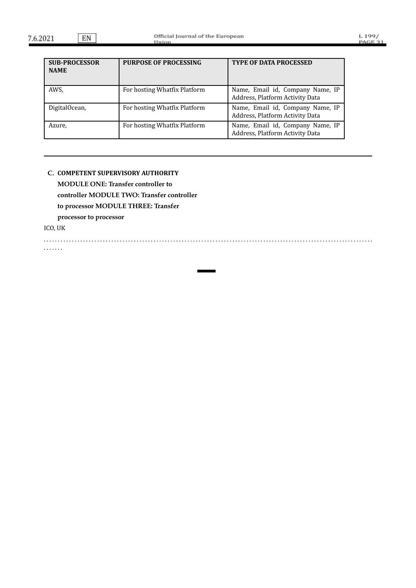| <b>SUB-PROCESSOR</b><br><b>NAME</b> | <b>PURPOSE OF PROCESSING</b> | <b>TYPE OF DATA PROCESSED</b>                                       |
|-------------------------------------|------------------------------|---------------------------------------------------------------------|
| AWS.                                | For hosting Whatfix Platform | Name, Email id, Company Name, IP<br>Address, Platform Activity Data |
| DigitalOcean,                       | For hosting Whatfix Platform | Name, Email id, Company Name, IP<br>Address, Platform Activity Data |
| Azure,                              | For hosting Whatfix Platform | Name, Email id, Company Name, IP<br>Address, Platform Activity Data |

# **C. COMPETENT SUPERVISORY AUTHORITY MODULE ONE: Transfer controller to controller MODULE TWO: Transfer controller to processor MODULE THREE: Transfer processor to processor**

ICO, UK

. . . . . . . . . . . . . . . . . . . . . . . . . . . . . . . . . . . . . . . . . . . . . . . . . . . . . . . . . . . . . . . . . . . . . . . . . . . . . . . . . . . . . . . . . . . . . . . . . . . . . . . . . . . . . . . . . . . . . . . . . . . .

i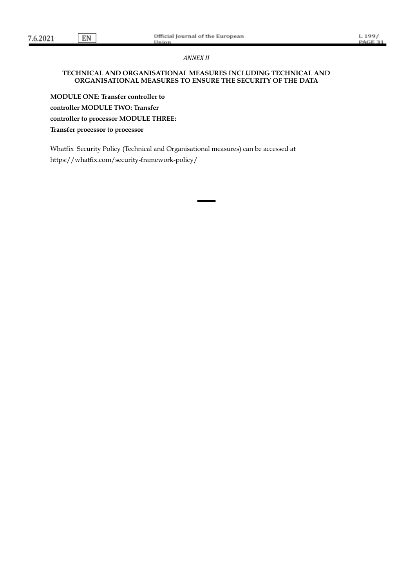## *ANNEX II*

## **TECHNICAL AND ORGANISATIONAL MEASURES INCLUDING TECHNICAL AND ORGANISATIONAL MEASURES TO ENSURE THE SECURITY OF THE DATA**

**MODULE ONE: Transfer controller to controller MODULE TWO: Transfer**

**controller to processor MODULE THREE:**

**Transfer processor to processor**

Whatfix Security Policy (Technical and Organisational measures) can be accessed at <https://whatfix.com/security-framework-policy/>